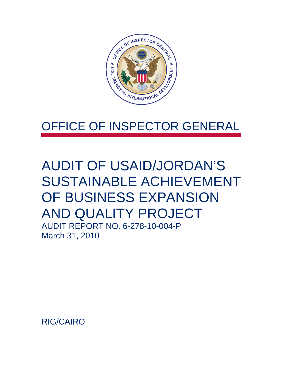

## OFFICE OF INSPECTOR GENERAL

# AUDIT OF USAID/JORDAN'S SUSTAINABLE ACHIEVEMENT OF BUSINESS EXPANSION AND QUALITY PROJECT

AUDIT REPORT NO. 6-278-10-004-P March 31, 2010

RIG/CAIRO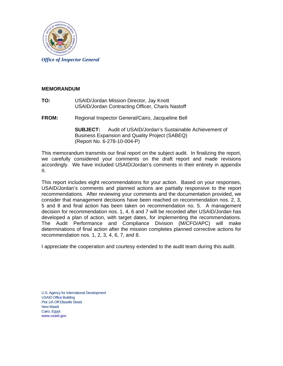

#### **MEMORANDUM**

- **TO:** USAID/Jordan Mission Director, Jay Knott USAID/Jordan Contracting Officer, Charis Nastoff
- **FROM:** Regional Inspector General/Cairo, Jacqueline Bell

**SUBJECT:** Audit of USAID/Jordan's Sustainable Achievement of Business Expansion and Quality Project (SABEQ) (Report No. 6-278-10-004-P)

This memorandum transmits our final report on the subject audit. In finalizing the report, we carefully considered your comments on the draft report and made revisions accordingly. We have included USAID/Jordan's comments in their entirety in appendix II.

This report includes eight recommendations for your action. Based on your responses, USAID/Jordan's comments and planned actions are partially responsive to the report recommendations. After reviewing your comments and the documentation provided, we consider that management decisions have been reached on recommendation nos. 2, 3, 5 and 8 and final action has been taken on recommendation no. 5. A management decision for recommendation nos. 1, 4, 6 and 7 will be recorded after USAID/Jordan has developed a plan of action, with target dates, for implementing the recommendations. The Audit Performance and Compliance Division (M/CFO/APC) will make determinations of final action after the mission completes planned corrective actions for recommendation nos. 1, 2, 3, 4, 6, 7, and 8.

I appreciate the cooperation and courtesy extended to the audit team during this audit.

U.S. Agency for International Development USAID Office Building Plot 1/A Off Ellaselki Street New Maadi Cairo, Egypt www.usaid.gov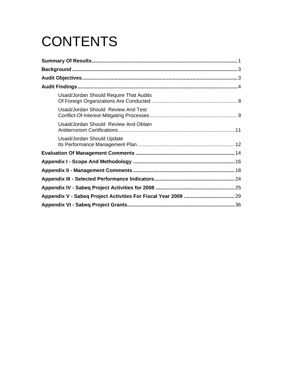# **CONTENTS**

| Usaid/Jordan Should Require That Audits |  |
|-----------------------------------------|--|
| Usaid/Jordan Should Review And Test     |  |
| Usaid/Jordan Should Review And Obtain   |  |
| Usaid/Jordan Should Update              |  |
|                                         |  |
|                                         |  |
|                                         |  |
|                                         |  |
|                                         |  |
|                                         |  |
|                                         |  |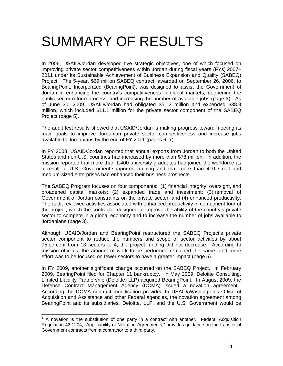## <span id="page-3-0"></span>SUMMARY OF RESULTS

In 2006, USAID/Jordan developed five strategic objectives, one of which focused on improving private sector competitiveness within Jordan during fiscal years (FYs) 2007– 2011 under its Sustainable Achievement of Business Expansion and Quality (SABEQ) Project. The 5-year, \$69 million SABEQ contract, awarded on September 26, 2006, to BearingPoint, Incorporated (BearingPoint), was designed to assist the Government of Jordan in enhancing the country's competitiveness in global markets, deepening the public sector reform process, and increasing the number of available jobs (page 3). As of June 30, 2009, USAID/Jordan had obligated \$51.2 million and expended \$38.8 million, which included \$11.1 million for the private sector component of the SABEQ Project (page 5).

The audit test results showed that USAID/Jordan is making progress toward meeting its main goals to improve Jordanian private sector competitiveness and increase jobs available to Jordanians by the end of FY 2011 (pages 6–7).

In FY 2008, USAID/Jordan reported that annual exports from Jordan to both the United States and non-U.S. countries had increased by more than \$78 million. In addition, the mission reported that more than 1,400 university graduates had joined the workforce as a result of U.S. Government-supported training and that more than 410 small and medium-sized enterprises had enhanced their business prospects.

The SABEQ Program focuses on four components: (1) financial integrity, oversight, and broadened capital markets; (2) expanded trade and investment; (3) removal of Government of Jordan constraints on the private sector; and (4) enhanced productivity. The audit reviewed activities associated with enhanced productivity in component four of the project, which the contractor designed to improve the ability of the country's private sector to compete in a global economy and to increase the number of jobs available to Jordanians (page 3).

Although USAID/Jordan and BearingPoint restructured the SABEQ Project's private sector component to reduce the numbers and scope of sector activities by about 75 percent from 13 sectors to 4, the project funding did not decrease. According to mission officials, the amount of work to be performed remained the same, and more effort was to be focused on fewer sectors to have a greater impact (page 5).

In FY 2009, another significant change occurred on the SABEQ Project. In February 2009, BearingPoint filed for Chapter 11 bankruptcy. In May 2009, Deloitte Consulting, Limited Liability Partnership (Deloitte, LLP) acquired BearingPoint. In August 2009, the Defense Contract Management Agency (DCMA) issued a novation agreement.<sup>[1](#page-3-1)</sup> According the DCMA contract modification provided to USAID/Washington's Office of Acquisition and Assistance and other Federal agencies, the novation agreement among BearingPoint and its subsidiaries, Deloitte, LLP, and the U.S. Government would be

<span id="page-3-1"></span>TERT MODE THE MODE THE TERRET CONTINUES.<br><sup>1</sup> A novation is the substitution of one party in a contract with another. Federal Acquisition Regulation 42.1204, "Applicability of Novation Agreements," provides guidance on the transfer of Government contracts from a contractor to a third party.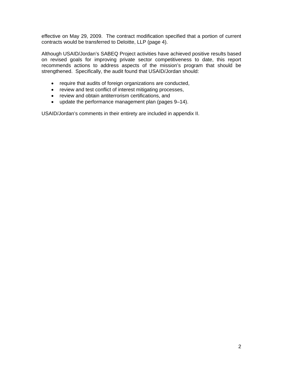effective on May 29, 2009. The contract modification specified that a portion of current contracts would be transferred to Deloitte, LLP (page 4).

Although USAID/Jordan's SABEQ Project activities have achieved positive results based on revised goals for improving private sector competitiveness to date, this report recommends actions to address aspects of the mission's program that should be strengthened. Specifically, the audit found that USAID/Jordan should:

- require that audits of foreign organizations are conducted,
- review and test conflict of interest mitigating processes,
- review and obtain antiterrorism certifications, and
- update the performance management plan (pages 9–14).

USAID/Jordan's comments in their entirety are included in appendix II.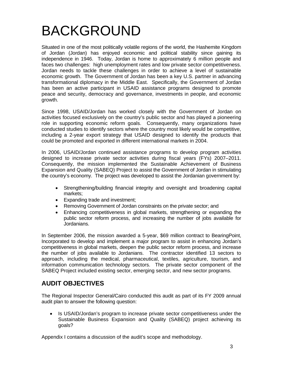# <span id="page-5-0"></span>BACKGROUND

Situated in one of the most politically volatile regions of the world, the Hashemite Kingdom of Jordan (Jordan) has enjoyed economic and political stability since gaining its independence in 1946. Today, Jordan is home to approximately 6 million people and faces two challenges: high unemployment rates and low private sector competitiveness. Jordan needs to tackle these challenges in order to achieve a level of sustainable economic growth. The Government of Jordan has been a key U.S. partner in advancing transformational diplomacy in the Middle East. Specifically, the Government of Jordan has been an active participant in USAID assistance programs designed to promote peace and security, democracy and governance, investments in people, and economic growth.

Since 1998, USAID/Jordan has worked closely with the Government of Jordan on activities focused exclusively on the country's public sector and has played a pioneering role in supporting economic reform goals. Consequently, many organizations have conducted studies to identify sectors where the country most likely would be competitive, including a 2-year export strategy that USAID designed to identify the products that could be promoted and exported in different international markets in 2004.

In 2006, USAID/Jordan continued assistance programs to develop program activities designed to increase private sector activities during fiscal years (FYs) 2007–2011. Consequently, the mission implemented the Sustainable Achievement of Business Expansion and Quality (SABEQ) Project to assist the Government of Jordan in stimulating the country's economy. The project was developed to assist the Jordanian government by:

- Strengthening/building financial integrity and oversight and broadening capital markets;
- Expanding trade and investment;
- Removing Government of Jordan constraints on the private sector; and
- Enhancing competitiveness in global markets, strengthening or expanding the public sector reform process, and increasing the number of jobs available for Jordanians.

In September 2006, the mission awarded a 5-year, \$69 million contract to BearingPoint, Incorporated to develop and implement a major program to assist in enhancing Jordan's competitiveness in global markets, deepen the public sector reform process, and increase the number of jobs available to Jordanians. The contractor identified 13 sectors to approach, including the medical, pharmaceutical, textiles, agriculture, tourism, and information communication technology sectors. The private sector component of the SABEQ Project included existing sector, emerging sector, and new sector programs.

## <span id="page-5-1"></span>**AUDIT OBJECTIVES**

The Regional Inspector General/Cairo conducted this audit as part of its FY 2009 annual audit plan to answer the following question:

• Is USAID/Jordan's program to increase private sector competitiveness under the Sustainable Business Expansion and Quality (SABEQ) project achieving its goals?

Appendix I contains a discussion of the audit's scope and methodology.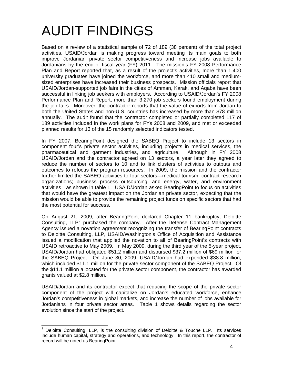# <span id="page-6-0"></span>AUDIT FINDINGS

Based on a review of a statistical sample of 72 of 189 (38 percent) of the total project activities, USAID/Jordan is making progress toward meeting its main goals to both improve Jordanian private sector competitiveness and increase jobs available to Jordanians by the end of fiscal year (FY) 2011. The mission's FY 2008 Performance Plan and Report reported that, as a result of the project's activities, more than 1,400 university graduates have joined the workforce, and more than 410 small and mediumsized enterprises have increased their business prospects. Mission officials report that USAID/Jordan-supported job fairs in the cities of Amman, Karak, and Aqaba have been successful in linking job seekers with employers. According to USAID/Jordan's FY 2008 Performance Plan and Report, more than 3,270 job seekers found employment during the job fairs. Moreover, the contractor reports that the value of exports from Jordan to both the United States and non-U.S. countries has increased by more than \$78 million annually. The audit found that the contractor completed or partially completed 117 of 189 activities included in the work plans for FYs 2008 and 2009, and met or exceeded planned results for 13 of the 15 randomly selected indicators tested.

In FY 2007, BearingPoint designed the SABEQ Project to include 13 sectors in component four's private sector activities, including projects in medical services, the pharmaceutical and garment industries, and agriculture. Although in FY 2008 USAID/Jordan and the contractor agreed on 13 sectors, a year later they agreed to reduce the number of sectors to 10 and to link clusters of activities to outputs and outcomes to refocus the program resources. In 2009, the mission and the contractor further limited the SABEQ activities to four sectors—medical tourism; contract research organizations; business process outsourcing; and energy, water, and environment activities—as shown in table 1. USAID/Jordan asked BearingPoint to focus on activities that would have the greatest impact on the Jordanian private sector, expecting that the mission would be able to provide the remaining project funds on specific sectors that had the most potential for success.

On August 21, 2009, after BearingPoint declared Chapter 11 bankruptcy, Deloitte Consulting,  $LLP<sup>2</sup>$  $LLP<sup>2</sup>$  $LLP<sup>2</sup>$  purchased the company. After the Defense Contract Management Agency issued a novation agreement recognizing the transfer of BearingPoint contracts to Deloitte Consulting, LLP, USAID/Washington's Office of Acquisition and Assistance issued a modification that applied the novation to all of BearingPoint's contracts with USAID retroactive to May 2009. In May 2009, during the third year of the 5-year project, USAID/Jordan had obligated \$51.2 million and disbursed \$37.2 million of \$69 million for the SABEQ Project. On June 30, 2009, USAID/Jordan had expended \$38.8 million, which included \$11.1 million for the private sector component of the SABEQ Project. Of the \$11.1 million allocated for the private sector component, the contractor has awarded grants valued at \$2.8 million.

USAID/Jordan and its contractor expect that reducing the scope of the private sector component of the project will capitalize on Jordan's educated workforce, enhance Jordan's competitiveness in global markets, and increase the number of jobs available for Jordanians in four private sector areas. Table 1 shows details regarding the sector evolution since the start of the project.

<span id="page-6-1"></span><sup>&</sup>lt;u>2</u><br><sup>2</sup> Deloitte Consulting, LLP, is the consulting division of Deloitte & Touche LLP. Its services include human capital, strategy and operations, and technology. In this report, the contractor of record will be noted as BearingPoint.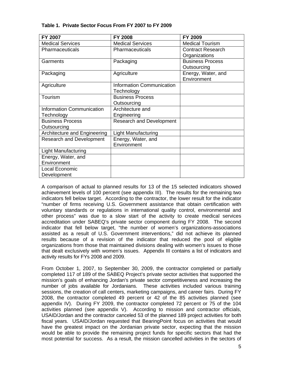| FY 2007                          | <b>FY 2008</b>                   | FY 2009                  |
|----------------------------------|----------------------------------|--------------------------|
| <b>Medical Services</b>          | <b>Medical Services</b>          | <b>Medical Tourism</b>   |
| Pharmaceuticals                  | Pharmaceuticals                  | <b>Contract Research</b> |
|                                  |                                  | Organizations            |
| Garments                         | Packaging                        | <b>Business Process</b>  |
|                                  |                                  | Outsourcing              |
| Packaging                        | Agriculture                      | Energy, Water, and       |
|                                  |                                  | Environment              |
| Agriculture                      | <b>Information Communication</b> |                          |
|                                  | Technology                       |                          |
| Tourism                          | <b>Business Process</b>          |                          |
|                                  | Outsourcing                      |                          |
| <b>Information Communication</b> | Architecture and                 |                          |
| Technology                       | Engineering                      |                          |
| <b>Business Process</b>          | <b>Research and Development</b>  |                          |
| Outsourcing                      |                                  |                          |
| Architecture and Engineering     | Light Manufacturing              |                          |
| <b>Research and Development</b>  | Energy, Water, and               |                          |
|                                  | Environment                      |                          |
| <b>Light Manufacturing</b>       |                                  |                          |
| Energy, Water, and               |                                  |                          |
| Environment                      |                                  |                          |
| Local Economic                   |                                  |                          |
| Development                      |                                  |                          |

#### **Table 1. Private Sector Focus From FY 2007 to FY 2009**

A comparison of actual to planned results for 13 of the 15 selected indicators showed achievement levels of 100 percent (see appendix III). The results for the remaining two indicators fell below target. According to the contractor, the lower result for the indicator "number of firms receiving U.S. Government assistance that obtain certification with voluntary standards or regulations in international quality control, environmental and other process" was due to a slow start of the activity to create medical services accreditation under SABEQ's private sector component during FY 2008. The second indicator that fell below target, "the number of women's organizations-associations assisted as a result of U.S. Government interventions," did not achieve its planned results because of a revision of the indicator that reduced the pool of eligible organizations from those that maintained divisions dealing with women's issues to those that dealt exclusively with women's issues. Appendix III contains a list of indicators and activity results for FYs 2008 and 2009.

From October 1, 2007, to September 30, 2009, the contractor completed or partially completed 117 of 189 of the SABEQ Project's private sector activities that supported the mission's goals of enhancing Jordan's private sector competitiveness and increasing the number of jobs available for Jordanians. These activities included various training sessions, the creation of call centers, marketing campaigns, and career fairs. During FY 2008, the contractor completed 49 percent or 42 of the 85 activities planned (see appendix IV). During FY 2009, the contractor completed 72 percent or 75 of the 104 activities planned (see appendix V). According to mission and contractor officials, USAID/Jordan and the contractor canceled 53 of the planned 189 project activities for both fiscal years. USAID/Jordan requested that BearingPoint focus on activities that would have the greatest impact on the Jordanian private sector, expecting that the mission would be able to provide the remaining project funds for specific sectors that had the most potential for success. As a result, the mission cancelled activities in the sectors of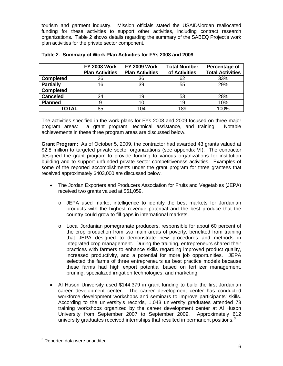tourism and garment industry. Mission officials stated the USAID/Jordan reallocated funding for these activities to support other activities, including contract research organizations. Table 2 shows details regarding the summary of the SABEQ Project's work plan activities for the private sector component.

|                  | <b>FY 2008 Work</b><br><b>Plan Activities</b> | <b>FY 2009 Work</b><br><b>Plan Activities</b> | <b>Total Number</b><br>of Activities | Percentage of<br><b>Total Activities</b> |
|------------------|-----------------------------------------------|-----------------------------------------------|--------------------------------------|------------------------------------------|
| <b>Completed</b> | 26                                            | 36                                            | 62                                   | 33%                                      |
| <b>Partially</b> | 16                                            | 39                                            | 55                                   | 29%                                      |
| <b>Completed</b> |                                               |                                               |                                      |                                          |
| <b>Canceled</b>  | 34                                            | 19                                            | 53                                   | 28%                                      |
| <b>Planned</b>   | 9                                             | 10                                            | 19                                   | 10%                                      |
| TOTAL            | 85                                            | 104                                           | 189                                  | 100%                                     |

|  |  | Table 2. Summary of Work Plan Activities for FYs 2008 and 2009 |
|--|--|----------------------------------------------------------------|
|  |  |                                                                |

The activities specified in the work plans for FYs 2008 and 2009 focused on three major program areas: a grant program, technical assistance, and training. Notable achievements in these three program areas are discussed below.

**Grant Program:** As of October 5, 2009, the contractor had awarded 43 grants valued at \$2.8 million to targeted private sector organizations (see appendix VI). The contractor designed the grant program to provide funding to various organizations for institution building and to support unfunded private sector competitiveness activities. Examples of some of the reported accomplishments under the grant program for three grantees that received approximately \$403,000 are discussed below.

- The Jordan Exporters and Producers Association for Fruits and Vegetables (JEPA) received two grants valued at \$61,059.
	- o JEPA used market intelligence to identify the best markets for Jordanian products with the highest revenue potential and the best produce that the country could grow to fill gaps in international markets.
	- o Local Jordanian pomegranate producers, responsible for about 60 percent of the crop production from two main areas of poverty, benefited from training that JEPA designed to demonstrate new procedures and methods in integrated crop management. During the training, entrepreneurs shared their practices with farmers to enhance skills regarding improved product quality, increased productivity, and a potential for more job opportunities. JEPA selected the farms of three entrepreneurs as best practice models because these farms had high export potential based on fertilizer management, pruning, specialized irrigation technologies, and marketing.
- Al Huson University used \$144,379 in grant funding to build the first Jordanian career development center. The career development center has conducted workforce development workshops and seminars to improve participants' skills. According to the university's records, 1,043 university graduates attended 73 training workshops organized by the career development center at Al Huson University from September 2007 to September 2009. Approximately 612 university graduates received internships that resulted in permanent positions. $3$

-

<span id="page-8-0"></span> $3$  Reported data were unaudited.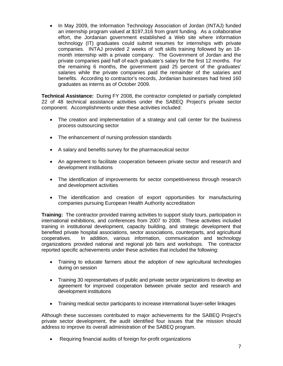In May 2009, the Information Technology Association of Jordan (INTAJ) funded an internship program valued at \$197,316 from grant funding. As a collaborative effort, the Jordanian government established a Web site where information technology (IT) graduates could submit resumes for internships with private companies. INTAJ provided 2 weeks of soft skills training followed by an 18 month internship with a private company. The Government of Jordan and the private companies paid half of each graduate's salary for the first 12 months. For the remaining 6 months, the government paid 25 percent of the graduates' salaries while the private companies paid the remainder of the salaries and benefits. According to contractor's records, Jordanian businesses had hired 160 graduates as interns as of October 2009.

**Technical Assistance:** During FY 2008, the contractor completed or partially completed 22 of 48 technical assistance activities under the SABEQ Project's private sector component. Accomplishments under these activities included:

- The creation and implementation of a strategy and call center for the business process outsourcing sector
- The enhancement of nursing profession standards
- A salary and benefits survey for the pharmaceutical sector
- An agreement to facilitate cooperation between private sector and research and development institutions
- The identification of improvements for sector competitiveness through research and development activities
- The identification and creation of export opportunities for manufacturing companies pursuing European Health Authority accreditation

**Training:** The contractor provided training activities to support study tours, participation in international exhibitions, and conferences from 2007 to 2008. These activities included training in institutional development, capacity building, and strategic development that benefited private hospital associations, sector associations, counterparts, and agricultural cooperatives. In addition, various information, communication and technology organizations provided national and regional job fairs and workshops. The contractor reported specific achievements under these activities that included the following:

- Training to educate farmers about the adoption of new agricultural technologies during on session
- Training 30 representatives of public and private sector organizations to develop an agreement for improved cooperation between private sector and research and development institutions
- Training medical sector participants to increase international buyer-seller linkages

Although these successes contributed to major achievements for the SABEQ Project's private sector development, the audit identified four issues that the mission should address to improve its overall administration of the SABEQ program.

Requiring financial audits of foreign for-profit organizations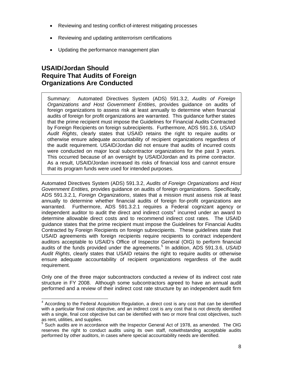- Reviewing and testing conflict-of-interest mitigating processes
- Reviewing and updating antiterrorism certifications
- Updating the performance management plan

## <span id="page-10-0"></span>**USAID/Jordan Should Require That Audits of Foreign Organizations Are Conducted**

Summary: Automated Directives System (ADS) 591.3.2, *Audits of Foreign Organizations and Host Government Entities*, provides guidance on audits of foreign organizations to assess risk at least annually to determine when financial audits of foreign for profit organizations are warranted. This guidance further states that the prime recipient must impose the Guidelines for Financial Audits Contracted by Foreign Recipients on foreign subrecipients. Furthermore, ADS 591.3.6, *USAID Audit Rights*, clearly states that USAID retains the right to require audits or otherwise ensure adequate accountability of recipient organizations regardless of the audit requirement. USAID/Jordan did not ensure that audits of incurred costs were conducted on major local subcontractor organizations for the past 3 years. This occurred because of an oversight by USAID/Jordan and its prime contractor. As a result, USAID/Jordan increased its risks of financial loss and cannot ensure that its program funds were used for intended purposes.

Automated Directives System (ADS) 591.3.2, *Audits of Foreign Organizations and Host Government Entities,* provides guidance on audits of foreign organizations. Specifically, ADS 591.3.2.1*, Foreign Organizations*, states that a mission must assess risk at least annually to determine whether financial audits of foreign for-profit organizations are warranted. Furthermore, ADS 591.3.2.1 requires a Federal cognizant agency or independent auditor to audit the direct and indirect costs<sup>[4](#page-10-1)</sup> incurred under an award to determine allowable direct costs and to recommend indirect cost rates. The USAID guidance states that the prime recipient must impose the Guidelines for Financial Audits Contracted by Foreign Recipients on foreign subrecipients. These guidelines state that USAID agreements with foreign recipients require recipients to contract independent auditors acceptable to USAID's Office of Inspector General (OIG) to perform financial audits of the funds provided under the agreements.<sup>[5](#page-10-2)</sup> In addition, ADS 591.3.6, USAID *Audit Rights*, clearly states that USAID retains the right to require audits or otherwise ensure adequate accountability of recipient organizations regardless of the audit requirement.

Only one of the three major subcontractors conducted a review of its indirect cost rate structure in FY 2008. Although some subcontractors agreed to have an annual audit performed and a review of their indirect cost rate structure by an independent audit firm

<span id="page-10-1"></span>**ACCORDIGG 2012**<br>A According to the Federal Acquisition Regulation, a direct cost is any cost that can be identified with a particular final cost objective, and an indirect cost is any cost that is not directly identified with a single, final cost objective but can be identified with two or more final cost objectives, such as rent, utilities, and supplies.

<span id="page-10-2"></span><sup>&</sup>lt;sup>5</sup> Such audits are in accordance with the Inspector General Act of 1978, as amended. The OIG reserves the right to conduct audits using its own staff, notwithstanding acceptable audits performed by other auditors, in cases where special accountability needs are identified.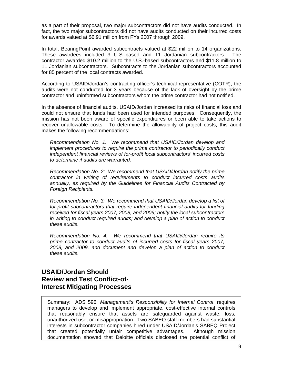as a part of their proposal, two major subcontractors did not have audits conducted. In fact, the two major subcontractors did not have audits conducted on their incurred costs for awards valued at \$6.91 million from FYs 2007 through 2009.

In total, BearingPoint awarded subcontracts valued at \$22 million to 14 organizations. These awardees included 3 U.S.-based and 11 Jordanian subcontractors. The contractor awarded \$10.2 million to the U.S.-based subcontractors and \$11.8 million to 11 Jordanian subcontractors. Subcontracts to the Jordanian subcontractors accounted for 85 percent of the local contracts awarded.

According to USAID/Jordan's contracting officer's technical representative (COTR), the audits were not conducted for 3 years because of the lack of oversight by the prime contractor and uninformed subcontractors whom the prime contractor had not notified.

In the absence of financial audits, USAID/Jordan increased its risks of financial loss and could not ensure that funds had been used for intended purposes. Consequently, the mission has not been aware of specific expenditures or been able to take actions to recover unallowable costs. To determine the allowability of project costs, this audit makes the following recommendations:

*Recommendation No. 1: We recommend that USAID/Jordan develop and implement procedures to require the prime contractor to periodically conduct independent financial reviews of for-profit local subcontractors' incurred costs to determine if audits are warranted.* 

*Recommendation No. 2: We recommend that USAID/Jordan notify the prime contractor in writing of requirements to conduct incurred costs audits annually, as required by the Guidelines for Financial Audits Contracted by Foreign Recipients.* 

*Recommendation No. 3: We recommend that USAID/Jordan develop a list of for-profit subcontractors that require independent financial audits for funding received for fiscal years 2007, 2008, and 2009; notify the local subcontractors in writing to conduct required audits; and develop a plan of action to conduct these audits.* 

*Recommendation No. 4: We recommend that USAID/Jordan require its prime contractor to conduct audits of incurred costs for fiscal years 2007, 2008, and 2009, and document and develop a plan of action to conduct these audits.* 

## <span id="page-11-0"></span>**USAID/Jordan Should Review and Test Conflict-of-Interest Mitigating Processes**

Summary: ADS 596, *Management's Responsibility for Internal Control*, requires managers to develop and implement appropriate, cost-effective internal controls that reasonably ensure that assets are safeguarded against waste, loss, unauthorized use, or misappropriation. Two SABEQ staff members had substantial interests in subcontractor companies hired under USAID/Jordan's SABEQ Project that created potentially unfair competitive advantages. Although mission documentation showed that Deloitte officials disclosed the potential conflict of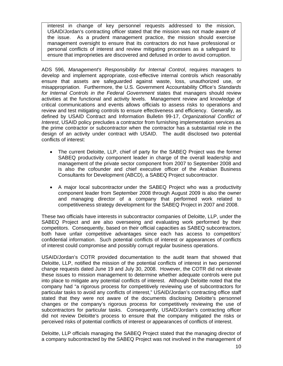interest in change of key personnel requests addressed to the mission, USAID/Jordan's contracting officer stated that the mission was not made aware of the issue. As a prudent management practice, the mission should exercise management oversight to ensure that its contractors do not have professional or personal conflicts of interest and review mitigating processes as a safeguard to ensure that improprieties are discovered and defused in order to avoid corruption.

ADS 596, *Management's Responsibility for Internal Control*, requires managers to develop and implement appropriate, cost-effective internal controls which reasonably ensure that assets are safeguarded against waste, loss, unauthorized use, or misappropriation. Furthermore, the U.S. Government Accountability Office's *Standards for Internal Controls in the Federal Government* states that managers should review activities at the functional and activity levels. Management review and knowledge of critical communications and events allows officials to assess risks to operations and review and test mitigating controls to ensure effectiveness and efficiency. Generally, as defined by USAID Contract and Information Bulletin 99-17, *Organizational Conflict of Interest*, USAID policy precludes a contractor from furnishing implementation services as the prime contractor or subcontractor when the contractor has a substantial role in the design of an activity under contract with USAID. The audit disclosed two potential conflicts of interest:

- The current Deloitte, LLP, chief of party for the SABEQ Project was the former SABEQ productivity component leader in charge of the overall leadership and management of the private sector component from 2007 to September 2008 and is also the cofounder and chief executive officer of the Arabian Business Consultants for Development (ABCD), a SABEQ Project subcontractor.
- A major local subcontractor under the SABEQ Project who was a productivity component leader from September 2008 through August 2009 is also the owner and managing director of a company that performed work related to competitiveness strategy development for the SABEQ Project in 2007 and 2008.

These two officials have interests in subcontractor companies of Deloitte, LLP, under the SABEQ Project and are also overseeing and evaluating work performed by their competitors. Consequently, based on their official capacities as SABEQ subcontractors, both have unfair competitive advantages since each has access to competitors' confidential information. Such potential conflicts of interest or appearances of conflicts of interest could compromise and possibly corrupt regular business operations.

USAID/Jordan's COTR provided documentation to the audit team that showed that Deloitte, LLP, notified the mission of the potential conflicts of interest in two personnel change requests dated June 19 and July 30, 2008. However, the COTR did not elevate these issues to mission management to determine whether adequate controls were put into place to mitigate any potential conflicts of interest. Although Deloitte noted that the company had "a rigorous process for competitively reviewing use of subcontractors for particular tasks to avoid any conflicts of interest," USAID/Jordan's contracting office staff stated that they were not aware of the documents disclosing Deloitte's personnel changes or the company's rigorous process for competitively reviewing the use of subcontractors for particular tasks. Consequently, USAID/Jordan's contracting officer did not review Deloitte's process to ensure that the company mitigated the risks or perceived risks of potential conflicts of interest or appearances of conflicts of interest.

Deloitte, LLP officials managing the SABEQ Project stated that the managing director of a company subcontracted by the SABEQ Project was not involved in the management of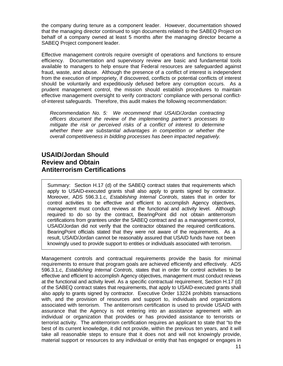the company during tenure as a component leader. However, documentation showed that the managing director continued to sign documents related to the SABEQ Project on behalf of a company owned at least 5 months after the managing director became a SABEQ Project component leader.

Effective management controls require oversight of operations and functions to ensure efficiency. Documentation and supervisory review are basic and fundamental tools available to managers to help ensure that Federal resources are safeguarded against fraud, waste, and abuse. Although the presence of a conflict of interest is independent from the execution of impropriety, if discovered, conflicts or potential conflicts of interest should be voluntarily and expeditiously defused before any corruption occurs. As a prudent management control, the mission should establish procedures to maintain effective management oversight to verify contractors' compliance with personal conflictof-interest safeguards. Therefore, this audit makes the following recommendation:

*Recommendation No. 5: We recommend that USAID/Jordan contracting officers document the review of the implementing partner's processes to mitigate the risk or perceived risks of a conflict of interest to determine whether there are substantial advantages in competition or whether the overall competitiveness in bidding processes has been impacted negatively.* 

## <span id="page-13-0"></span>**USAID/Jordan Should Review and Obtain Antiterrorism Certifications**

Summary: Section H.17 (d) of the SABEQ contract states that requirements which apply to USAID-executed grants shall also apply to grants signed by contractor. Moreover, ADS 596.3.1.c, *Establishing Internal Controls*, states that in order for control activities to be effective and efficient to accomplish Agency objectives, management must conduct reviews at the functional and activity level. Although required to do so by the contract, BearingPoint did not obtain antiterrorism certifications from grantees under the SABEQ contract and as a management control, USAID/Jordan did not verify that the contractor obtained the required certifications. BearingPoint officials stated that they were not aware of the requirements. As a result, USAID/Jordan cannot be reasonably assured that USAID funds have not been knowingly used to provide support to entities or individuals associated with terrorism.

Management controls and contractual requirements provide the basis for minimal requirements to ensure that program goals are achieved efficiently and effectively. ADS 596.3.1.c, *Establishing Internal Controls*, states that in order for control activities to be effective and efficient to accomplish Agency objectives, management must conduct reviews at the functional and activity level. As a specific contractual requirement, Section H.17 (d) of the SABEQ contract states that requirements, that apply to USAID-executed grants shall also apply to grants signed by contractor. Executive Order 13224 prohibits transactions with, and the provision of resources and support to, individuals and organizations associated with terrorism. The antiterrorism certification is used to provide USAID with assurance that the Agency is not entering into an assistance agreement with an individual or organization that provides or has provided assistance to terrorists or terrorist activity. The antiterrorism certification requires an applicant to state that "to the best of its current knowledge, it did not provide, within the previous ten years, and it will take all reasonable steps to ensure that it does not and will not knowingly provide, material support or resources to any individual or entity that has engaged or engages in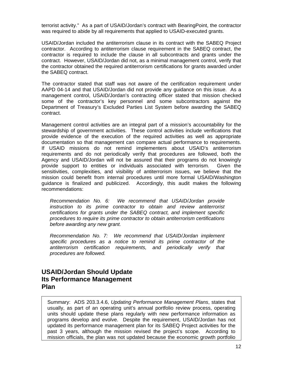terrorist activity." As a part of USAID/Jordan's contract with BearingPoint, the contractor was required to abide by all requirements that applied to USAID-executed grants.

USAID/Jordan included the antiterrorism clause in its contract with the SABEQ Project contractor. According to antiterrorism clause requirement in the SABEQ contract, the contractor is required to include the clause in all subcontracts and grants under the contract. However, USAID/Jordan did not, as a minimal management control, verify that the contractor obtained the required antiterrorism certifications for grants awarded under the SABEQ contract.

The contractor stated that staff was not aware of the certification requirement under AAPD 04-14 and that USAID/Jordan did not provide any guidance on this issue. As a management control, USAID/Jordan's contracting officer stated that mission checked some of the contractor's key personnel and some subcontractors against the Department of Treasury's Excluded Parties List System before awarding the SABEQ contract.

Management control activities are an integral part of a mission's accountability for the stewardship of government activities. These control activities include verifications that provide evidence of the execution of the required activities as well as appropriate documentation so that management can compare actual performance to requirements. If USAID missions do not remind implementers about USAID's antiterrorism requirements and do not periodically verify that procedures are followed, both the Agency and USAID/Jordan will not be assured that their programs do not knowingly provide support to entities or individuals associated with terrorism. Given the sensitivities, complexities, and visibility of antiterrorism issues, we believe that the mission could benefit from internal procedures until more formal USAID/Washington guidance is finalized and publicized. Accordingly, this audit makes the following recommendations:

*Recommendation No. 6: We recommend that USAID/Jordan provide instruction to its prime contractor to obtain and review antiterrorist certifications for grants under the SABEQ contract, and implement specific procedures to require its prime contractor to obtain antiterrorism certifications before awarding any new grant.* 

*Recommendation No. 7: We recommend that USAID/Jordan implement specific procedures as a notice to remind its prime contractor of the antiterrorism certification requirements, and periodically verify that procedures are followed.* 

### <span id="page-14-0"></span>**USAID/Jordan Should Update Its Performance Management Plan**

Summary: ADS 203.3.4.6, *Updating Performance Management Plans*, states that usually, as part of an operating unit's annual portfolio review process, operating units should update these plans regularly with new performance information as programs develop and evolve. Despite the requirement, USAID/Jordan has not updated its performance management plan for its SABEQ Project activities for the past 3 years, although the mission revised the project's scope. According to mission officials, the plan was not updated because the economic growth portfolio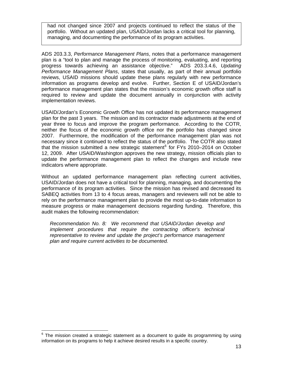had not changed since 2007 and projects continued to reflect the status of the portfolio. Without an updated plan, USAID/Jordan lacks a critical tool for planning, managing, and documenting the performance of its program activities.

ADS 203.3.3, *Performance Management Plans*, notes that a performance management plan is a "tool to plan and manage the process of monitoring, evaluating, and reporting progress towards achieving an assistance objective." ADS 203.3.4.6, *Updating Performance Management Plans*, states that usually, as part of their annual portfolio reviews, USAID missions should update these plans regularly with new performance information as programs develop and evolve. Further, Section E of USAID/Jordan's performance management plan states that the mission's economic growth office staff is required to review and update the document annually in conjunction with activity implementation reviews.

USAID/Jordan's Economic Growth Office has not updated its performance management plan for the past 3 years. The mission and its contractor made adjustments at the end of year three to focus and improve the program performance. According to the COTR, neither the focus of the economic growth office nor the portfolio has changed since 2007. Furthermore, the modification of the performance management plan was not necessary since it continued to reflect the status of the portfolio. The COTR also stated that the mission submitted a new strategic statement<sup>[6](#page-15-0)</sup> for FYs 2010–2014 on October 12, 2009. After USAID/Washington approves the new strategy, mission officials plan to update the performance management plan to reflect the changes and include new indicators where appropriate.

Without an updated performance management plan reflecting current activities, USAID/Jordan does not have a critical tool for planning, managing, and documenting the performance of its program activities. Since the mission has revised and decreased its SABEQ activities from 13 to 4 focus areas, managers and reviewers will not be able to rely on the performance management plan to provide the most up-to-date information to measure progress or make management decisions regarding funding. Therefore, this audit makes the following recommendation:

*Recommendation No. 8: We recommend that USAID/Jordan develop and implement procedures that require the contracting officer's technical representative to review and update the project's performance management plan and require current activities to be documented.* 

<span id="page-15-0"></span> $6$  The mission created a strategic statement as a document to guide its programming by using information on its programs to help it achieve desired results in a specific country.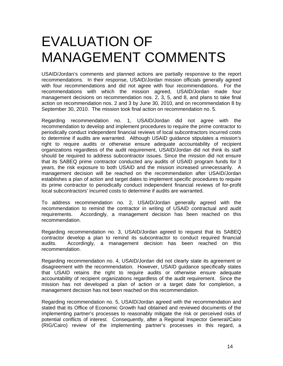## <span id="page-16-0"></span>EVALUATION OF MANAGEMENT COMMENTS

USAID/Jordan's comments and planned actions are partially responsive to the report recommendations. In their response, USAID/Jordan mission officials generally agreed with four recommendations and did not agree with four recommendations. For the recommendations with which the mission agreed, USAID/Jordan made four management decisions on recommendation nos. 2, 3, 5, and 8, and plans to take final action on recommendation nos. 2 and 3 by June 30, 2010, and on recommendation 8 by September 30, 2010. The mission took final action on recommendation no. 5.

Regarding recommendation no. 1, USAID/Jordan did not agree with the recommendation to develop and implement procedures to require the prime contractor to periodically conduct independent financial reviews of local subcontractors incurred costs to determine if audits are warranted. Although USAID guidance stipulates a mission's right to require audits or otherwise ensure adequate accountability of recipient organizations regardless of the audit requirement, USAID/Jordan did not think its staff should be required to address subcontractor issues. Since the mission did not ensure that its SABEQ prime contractor conducted any audits of USAID program funds for 3 years, the risk exposure to both USAID and the mission increased unnecessarily. A management decision will be reached on the recommendation after USAID/Jordan establishes a plan of action and target dates to implement specific procedures to require its prime contractor to periodically conduct independent financial reviews of for-profit local subcontractors' incurred costs to determine if audits are warranted.

To address recommendation no. 2, USAID/Jordan generally agreed with the recommendation to remind the contractor in writing of USAID contractual and audit requirements. Accordingly, a management decision has been reached on this recommendation.

Regarding recommendation no. 3, USAID/Jordan agreed to request that its SABEQ contractor develop a plan to remind its subcontractor to conduct required financial audits. Accordingly, a management decision has been reached on this recommendation.

Regarding recommendation no. 4, USAID/Jordan did not clearly state its agreement or disagreement with the recommendation. However, USAID guidance specifically states that USAID retains the right to require audits or otherwise ensure adequate accountability of recipient organizations regardless of the audit requirement. Since the mission has not developed a plan of action or a target date for completion, a management decision has not been reached on this recommendation.

Regarding recommendation no. 5, USAID/Jordan agreed with the recommendation and stated that its Office of Economic Growth had obtained and reviewed documents of the implementing partner's processes to reasonably mitigate the risk or perceived risks of potential conflicts of interest. Consequently, after a Regional Inspector General/Cairo (RIG/Cairo) review of the implementing partner's processes in this regard, a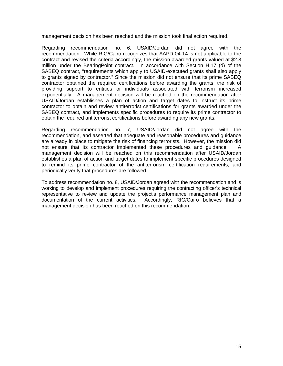management decision has been reached and the mission took final action required.

Regarding recommendation no. 6, USAID/Jordan did not agree with the recommendation. While RIG/Cairo recognizes that AAPD 04-14 is not applicable to the contract and revised the criteria accordingly, the mission awarded grants valued at \$2.8 million under the BearingPoint contract. In accordance with Section H.17 (d) of the SABEQ contract, "requirements which apply to USAID-executed grants shall also apply to grants signed by contractor." Since the mission did not ensure that its prime SABEQ contractor obtained the required certifications before awarding the grants, the risk of providing support to entities or individuals associated with terrorism increased exponentially. A management decision will be reached on the recommendation after USAID/Jordan establishes a plan of action and target dates to instruct its prime contractor to obtain and review antiterrorist certifications for grants awarded under the SABEQ contract*,* and implements specific procedures to require its prime contractor to obtain the required antiterrorist certifications before awarding any new grants.

Regarding recommendation no. 7, USAID/Jordan did not agree with the recommendation, and asserted that adequate and reasonable procedures and guidance are already in place to mitigate the risk of financing terrorists. However, the mission did not ensure that its contractor implemented these procedures and guidance. A management decision will be reached on this recommendation after USAID/Jordan establishes a plan of action and target dates to implement specific procedures designed to remind its prime contractor of the antiterrorism certification requirements, and periodically verify that procedures are followed.

To address recommendation no. 8, USAID/Jordan agreed with the recommendation and is working to develop and implement procedures requiring the contracting officer's technical representative to review and update the project's performance management plan and documentation of the current activities. Accordingly, RIG/Cairo believes that a management decision has been reached on this recommendation.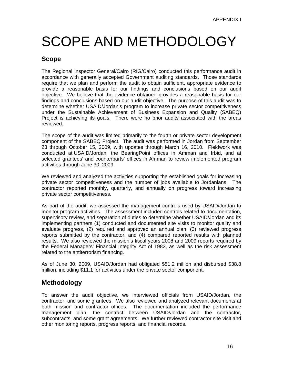# <span id="page-18-0"></span>SCOPE AND METHODOLOGY

### **Scope**

The Regional Inspector General/Cairo (RIG/Cairo) conducted this performance audit in accordance with generally accepted Government auditing standards. Those standards require that we plan and perform the audit to obtain sufficient, appropriate evidence to provide a reasonable basis for our findings and conclusions based on our audit objective. We believe that the evidence obtained provides a reasonable basis for our findings and conclusions based on our audit objective. The purpose of this audit was to determine whether USAID/Jordan's program to increase private sector competitiveness under the Sustainable Achievement of Business Expansion and Quality (SABEQ) Project is achieving its goals. There were no prior audits associated with the areas reviewed.

The scope of the audit was limited primarily to the fourth or private sector development component of the SABEQ Project. The audit was performed in Jordan from September 23 through October 15, 2009, with updates through March 16, 2010. Fieldwork was conducted at USAID/Jordan, the BearingPoint offices in Amman and Irbid, and at selected grantees' and counterparts' offices in Amman to review implemented program activities through June 30, 2009.

We reviewed and analyzed the activities supporting the established goals for increasing private sector competitiveness and the number of jobs available to Jordanians. The contractor reported monthly, quarterly, and annually on progress toward increasing private sector competitiveness.

As part of the audit, we assessed the management controls used by USAID/Jordan to monitor program activities. The assessment included controls related to documentation, supervisory review, and separation of duties to determine whether USAID/Jordan and its implementing partners (1) conducted and documented site visits to monitor quality and evaluate progress, (2) required and approved an annual plan, (3) reviewed progress reports submitted by the contractor, and (4) compared reported results with planned results. We also reviewed the mission's fiscal years 2008 and 2009 reports required by the Federal Managers' Financial Integrity Act of 1982, as well as the risk assessment related to the antiterrorism financing.

As of June 30, 2009, USAID/Jordan had obligated \$51.2 million and disbursed \$38.8 million, including \$11.1 for activities under the private sector component.

## **Methodology**

To answer the audit objective, we interviewed officials from USAID/Jordan, the contractor, and some grantees. We also reviewed and analyzed relevant documents at both mission and contractor offices. The documentation included the performance management plan, the contract between USAID/Jordan and the contractor, subcontracts, and some grant agreements. We further reviewed contractor site visit and other monitoring reports, progress reports, and financial records.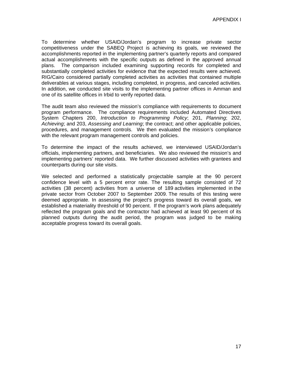To determine whether USAID/Jordan's program to increase private sector competitiveness under the SABEQ Project is achieving its goals, we reviewed the accomplishments reported in the implementing partner's quarterly reports and compared actual accomplishments with the specific outputs as defined in the approved annual plans. The comparison included examining supporting records for completed and substantially completed activities for evidence that the expected results were achieved. RIG/Cairo considered partially completed activities as activities that contained multiple deliverables at various stages, including completed, in progress, and canceled activities. In addition, we conducted site visits to the implementing partner offices in Amman and one of its satellite offices in Irbid to verify reported data.

The audit team also reviewed the mission's compliance with requirements to document program performance. The compliance requirements included Automated Directives System Chapters 200, *Introduction to Programming Policy*; 201, *Planning*; 202, *Achieving*; and 203, *Assessing and Learning*; the contract; and other applicable policies, procedures, and management controls. We then evaluated the mission's compliance with the relevant program management controls and policies.

To determine the impact of the results achieved, we interviewed USAID/Jordan's officials, implementing partners, and beneficiaries. We also reviewed the mission's and implementing partners' reported data. We further discussed activities with grantees and counterparts during our site visits.

We selected and performed a statistically projectable sample at the 90 percent confidence level with a 5 percent error rate. The resulting sample consisted of 72 activities (38 percent) activities from a universe of 189 activities implemented in the private sector from October 2007 to September 2009. The results of this testing were deemed appropriate. In assessing the project's progress toward its overall goals, we established a materiality threshold of 90 percent. If the program's work plans adequately reflected the program goals and the contractor had achieved at least 90 percent of its planned outputs during the audit period, the program was judged to be making acceptable progress toward its overall goals.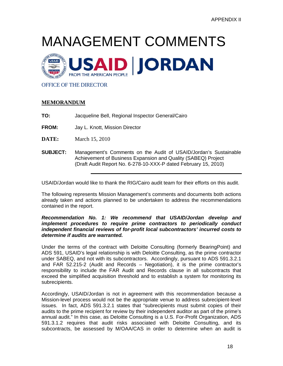# <span id="page-20-0"></span>MANAGEMENT COMMENTS



#### OFFICE OF THE DIRECTOR

#### **MEMORANDUM**

**TO:** Jacqueline Bell, Regional Inspector General/Cairo

**FROM:** Jay L. Knott, Mission Director

- **DATE:** March 15, 2010
- **SUBJECT:** Management's Comments on the Audit of USAID/Jordan's Sustainable Achievement of Business Expansion and Quality (SABEQ) Project (Draft Audit Report No. 6-278-10-XXX-P dated February 15, 2010)

USAID/Jordan would like to thank the RIG/Cairo audit team for their efforts on this audit.

The following represents Mission Management's comments and documents both actions already taken and actions planned to be undertaken to address the recommendations contained in the report.

#### *Recommendation No. 1: We recommend that USAID/Jordan develop and implement procedures to require prime contractors to periodically conduct independent financial reviews of for-profit local subcontractors' incurred costs to determine if audits are warranted.*

Under the terms of the contract with Deloitte Consulting (formerly BearingPoint) and ADS 591, USAID's legal relationship is with Deloitte Consulting, as the prime contractor under SABEQ, and not with its subcontractors. Accordingly, pursuant to ADS 591.3.2.1 and FAR 52.215-2 (Audit and Records – Negotiation), it is the prime contractor's responsibility to include the FAR Audit and Records clause in all subcontracts that exceed the simplified acquisition threshold and to establish a system for monitoring its subrecipients.

Accordingly, USAID/Jordan is not in agreement with this recommendation because a Mission-level process would not be the appropriate venue to address subrecipient-level issues. In fact, ADS 591.3.2.1 states that "subrecipients must submit copies of their audits to the prime recipient for review by their independent auditor as part of the prime's annual audit." In this case, as Deloitte Consulting is a U.S. For-Profit Organization, ADS 591.3.1.2 requires that audit risks associated with Deloitte Consulting, and its subcontracts, be assessed by M/OAA/CAS in order to determine when an audit is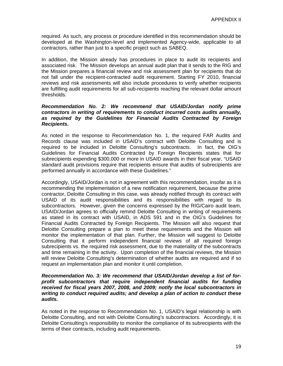required. As such, any process or procedure identified in this recommendation should be developed at the Washington-level and implemented Agency-wide, applicable to all contractors, rather than just to a specific project such as SABEQ.

In addition, the Mission already has procedures in place to audit its recipients and associated risk. The Mission develops an annual audit plan that it sends to the RIG and the Mission prepares a financial review and risk assessment plan for recipients that do not fall under the recipient-contracted audit requirement. Starting FY 2010, financial reviews and risk assessments will also include procedures to verify whether recipients are fulfilling audit requirements for all sub-recipients reaching the relevant dollar amount thresholds.

#### *Recommendation No. 2: We recommend that USAID/Jordan notify prime contractors in writing of requirements to conduct incurred costs audits annually, as required by the Guidelines for Financial Audits Contracted by Foreign Recipients.*

As noted in the response to Recommendation No. 1, the required FAR Audits and Records clause was included in USAID's contract with Deloitte Consulting and is required to be included in Deloitte Consulting's subcontracts. In fact, the OIG's Guidelines for Financial Audits Contracted by Foreign Recipients states that for subrecipients expending \$300,000 or more in USAID awards in their fiscal year, "USAID standard audit provisions require that recipients ensure that audits of subrecipients are performed annually in accordance with these Guidelines."

Accordingly, USAID/Jordan is not in agreement with this recommendation, insofar as it is recommending the implementation of a new notification requirement, because the prime contractor, Deloitte Consulting in this case, was already notified through its contract with USAID of its audit responsibilities and its responsibilities with regard to its subcontractors. However, given the concerns expressed by the RIG/Cairo audit team, USAID/Jordan agrees to officially remind Deloitte Consulting in writing of requirements as stated in its contract with USAID, in ADS 591 and in the OIG's Guidelines for Financial Audits Contracted by Foreign Recipients. The Mission will also request that Deloitte Consulting prepare a plan to meet these requirements and the Mission will monitor the implementation of that plan. Further, the Mission will suggest to Deloitte Consulting that it perform independent financial reviews of all required foreign subrecipients vs. the required risk assessment, due to the materiality of the subcontracts and time remaining in the activity. Upon completion of the financial reviews, the Mission will review Deloitte Consulting's determination of whether audits are required and if so request an implementation plan and monitor it until completion.

#### *Recommendation No. 3: We recommend that USAID/Jordan develop a list of forprofit subcontractors that require independent financial audits for funding received for fiscal years 2007, 2008, and 2009; notify the local subcontractors in writing to conduct required audits; and develop a plan of action to conduct these audits.*

As noted in the response to Recommendation No. 1, USAID's legal relationship is with Deloitte Consulting, and not with Deloitte Consulting's subcontractors. Accordingly, it is Deloitte Consulting's responsibility to monitor the compliance of its subrecipients with the terms of their contracts, including audit requirements.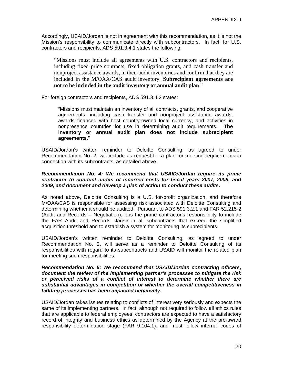Accordingly, USAID/Jordan is not in agreement with this recommendation, as it is not the Mission's responsibility to communicate directly with subcontractors. In fact, for U.S. contractors and recipients, ADS 591.3.4.1 states the following:

"Missions must include all agreements with U.S. contractors and recipients, including fixed price contracts, fixed obligation grants, and cash transfer and nonproject assistance awards, in their audit inventories and confirm that they are included in the M/OAA/CAS audit inventory. **Subrecipient agreements are not to be included in the audit inventory or annual audit plan**."

For foreign contractors and recipients, ADS 591.3.4.2 states:

"Missions must maintain an inventory of all contracts, grants, and cooperative agreements, including cash transfer and nonproject assistance awards, awards financed with host country-owned local currency, and activities in nonpresence countries for use in determining audit requirements. **The inventory or annual audit plan does not include subrecipient agreements.**"

USAID/Jordan's written reminder to Deloitte Consulting, as agreed to under Recommendation No. 2, will include as request for a plan for meeting requirements in connection with its subcontracts, as detailed above.

#### *Recommendation No. 4: We recommend that USAID/Jordan require its prime contractor to conduct audits of incurred costs for fiscal years 2007, 2008, and 2009, and document and develop a plan of action to conduct these audits.*

As noted above, Deloitte Consulting is a U.S. for-profit organization, and therefore M/OAA/CAS is responsible for assessing risk associated with Deloitte Consulting and determining whether it should be audited. Pursuant to ADS 591.3.2.1 and FAR 52.215-2 (Audit and Records – Negotiation), it is the prime contractor's responsibility to include the FAR Audit and Records clause in all subcontracts that exceed the simplified acquisition threshold and to establish a system for monitoring its subrecipients.

USAID/Jordan's written reminder to Deloitte Consulting, as agreed to under Recommendation No. 2, will serve as a reminder to Deloitte Consulting of its responsibilities with regard to its subcontracts and USAID will monitor the related plan for meeting such responsibilities.

#### *Recommendation No. 5: We recommend that USAID/Jordan contracting officers, document the review of the implementing partner's processes to mitigate the risk or perceived risks of a conflict of interest to determine whether there are substantial advantages in competition or whether the overall competitiveness in bidding processes has been impacted negatively.*

USAID/Jordan takes issues relating to conflicts of interest very seriously and expects the same of its implementing partners. In fact, although not required to follow all ethics rules that are applicable to federal employees, contractors are expected to have a satisfactory record of integrity and business ethics as determined by the Agency at the pre-award responsibility determination stage (FAR 9.104.1), and most follow internal codes of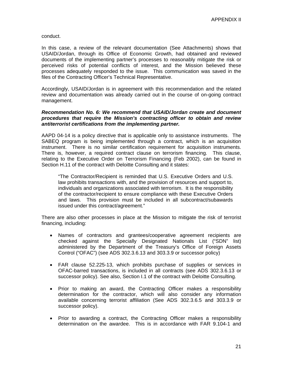conduct.

In this case, a review of the relevant documentation (See Attachments) shows that USAID/Jordan, through its Office of Economic Growth, had obtained and reviewed documents of the implementing partner's processes to reasonably mitigate the risk or perceived risks of potential conflicts of interest, and the Mission believed these processes adequately responded to the issue. This communication was saved in the files of the Contracting Officer's Technical Representative.

Accordingly, USAID/Jordan is in agreement with this recommendation and the related review and documentation was already carried out in the course of on-going contract management.

#### *Recommendation No. 6: We recommend that USAID/Jordan create and document procedures that require the Mission's contracting officer to obtain and review antiterrorist certifications from the implementing partner.*

AAPD 04-14 is a policy directive that is applicable only to assistance instruments. The SABEQ program is being implemented through a contract, which is an acquisition instrument. There is no similar certification requirement for acquisition instruments. There is, however, a required contract clause on terrorism financing. This clause, relating to the Executive Order on Terrorism Financing (Feb 2002), can be found in Section H.11 of the contract with Deloitte Consulting and it states:

"The Contractor/Recipient is reminded that U.S. Executive Orders and U.S. law prohibits transactions with, and the provision of resources and support to, individuals and organizations associated with terrorism. It is the responsibility of the contractor/recipient to ensure compliance with these Executive Orders and laws. This provision must be included in all subcontract/subawards issued under this contract/agreement."

There are also other processes in place at the Mission to mitigate the risk of terrorist financing, including:

- Names of contractors and grantees/cooperative agreement recipients are checked against the Specially Designated Nationals List ("SDN" list) administered by the Department of the Treasury's Office of Foreign Assets Control ("OFAC") (see ADS 302.3.6.13 and 303.3.9 or successor policy)
- FAR clause 52.225-13, which prohibits purchase of supplies or services in OFAC-barred transactions, is included in all contracts (see ADS 302.3.6.13 or successor policy). See also, Section I.1 of the contract with Deloitte Consulting.
- Prior to making an award, the Contracting Officer makes a responsibility determination for the contractor, which will also consider any information available concerning terrorist affiliation (See ADS 302.3.6.5 and 303.3.9 or successor policy).
- Prior to awarding a contract, the Contracting Officer makes a responsibility determination on the awardee. This is in accordance with FAR 9.104-1 and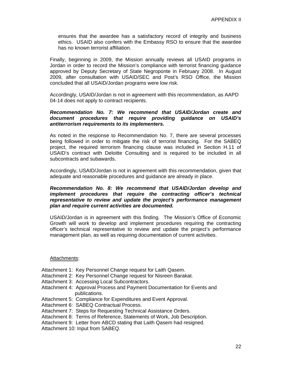ensures that the awardee has a satisfactory record of integrity and business ethics. USAID also confers with the Embassy RSO to ensure that the awardee has no known terrorist affiliation.

Finally, beginning in 2009, the Mission annually reviews all USAID programs in Jordan in order to record the Mission's compliance with terrorist financing guidance approved by Deputy Secretary of State Negroponte in February 2008. In August 2009, after consultation with USAID/SEC and Post's RSO Office, the Mission concluded that all USAID/Jordan programs were low risk.

Accordingly, USAID/Jordan is not in agreement with this recommendation, as AAPD 04-14 does not apply to contract recipients.

#### *Recommendation No. 7: We recommend that USAID/Jordan create and document procedures that require providing guidance on USAID's antiterrorism requirements to its implementers.*

As noted in the response to Recommendation No. 7, there are several processes being followed in order to mitigate the risk of terrorist financing. For the SABEQ project, the required terrorism financing clause was included in Section H.11 of USAID's contract with Deloitte Consulting and is required to be included in all subcontracts and subawards.

Accordingly, USAID/Jordan is not in agreement with this recommendation, given that adequate and reasonable procedures and guidance are already in place.

#### *Recommendation No. 8: We recommend that USAID/Jordan develop and implement procedures that require the contracting officer's technical representative to review and update the project's performance management plan and require current activities are documented.*

USAID/Jordan is in agreement with this finding. The Mission's Office of Economic Growth will work to develop and implement procedures requiring the contracting officer's technical representative to review and update the project's performance management plan, as well as requiring documentation of current activities.

#### Attachments:

- Attachment 1: Key Personnel Change request for Laith Qasem.
- Attachment 2: Key Personnel Change request for Nisreen Barakat.
- Attachment 3: Accessing Local Subcontractors.
- Attachment 4: Approval Process and Payment Documentation for Events and publications.
- Attachment 5: Compliance for Expenditures and Event Approval.
- Attachment 6: SABEQ Contractual Process.
- Attachment 7: Steps for Requesting Technical Assistance Orders.
- Attachment 8: Terms of Reference, Statements of Work, Job Description.
- Attachment 9: Letter from ABCD stating that Laith Qasem had resigned.

Attachment 10: Input from SABEQ.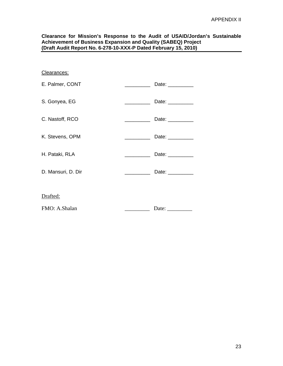#### **Clearance for Mission's Response to the Audit of USAID/Jordan's Sustainable Achievement of Business Expansion and Quality (SABEQ) Project (Draft Audit Report No. 6-278-10-XXX-P Dated February 15, 2010)**

| Clearances:        |                                                                                                                                                                                                                                                                                                                                                                                                                                                                                                  |                     |
|--------------------|--------------------------------------------------------------------------------------------------------------------------------------------------------------------------------------------------------------------------------------------------------------------------------------------------------------------------------------------------------------------------------------------------------------------------------------------------------------------------------------------------|---------------------|
| E. Palmer, CONT    | $\begin{tabular}{ll} \multicolumn{2}{c} {\textbf{1}} & \multicolumn{2}{c} {\textbf{1}} & \multicolumn{2}{c} {\textbf{1}} \\ \multicolumn{2}{c} {\textbf{2}} & \multicolumn{2}{c} {\textbf{3}} & \multicolumn{2}{c} {\textbf{4}} \\ \multicolumn{2}{c} {\textbf{4}} & \multicolumn{2}{c} {\textbf{5}} & \multicolumn{2}{c} {\textbf{6}} \\ \multicolumn{2}{c} {\textbf{5}} & \multicolumn{2}{c} {\textbf{6}} & \multicolumn{2}{c} {\textbf{6}} \\ \multicolumn{2}{c} {\textbf{6}} & \multicolumn$ | Date: $\_\_$        |
| S. Gonyea, EG      |                                                                                                                                                                                                                                                                                                                                                                                                                                                                                                  | Date: _________     |
| C. Nastoff, RCO    | <u> 1989 - Jan Stein Stein Stein Stein Stein Stein Stein Stein Stein Stein Stein Stein Stein Stein Stein Stein Stein Stein Stein Stein Stein Stein Stein Stein Stein Stein Stein Stein Stein Stein Stein Stein Stein Stein Stein</u>                                                                                                                                                                                                                                                             | Date: __________    |
| K. Stevens, OPM    | $\begin{aligned} \mathcal{L}_{\text{max}}(\mathcal{L}_{\text{max}}, \mathcal{L}_{\text{max}}) = \mathcal{L}_{\text{max}}(\mathcal{L}_{\text{max}}), \end{aligned}$                                                                                                                                                                                                                                                                                                                               | Date: _________     |
| H. Pataki, RLA     |                                                                                                                                                                                                                                                                                                                                                                                                                                                                                                  | Date: $\_\_$        |
| D. Mansuri, D. Dir |                                                                                                                                                                                                                                                                                                                                                                                                                                                                                                  | Date: $\frac{1}{2}$ |
| Drafted:           |                                                                                                                                                                                                                                                                                                                                                                                                                                                                                                  |                     |
|                    |                                                                                                                                                                                                                                                                                                                                                                                                                                                                                                  |                     |
| FMO: A.Shalan      |                                                                                                                                                                                                                                                                                                                                                                                                                                                                                                  |                     |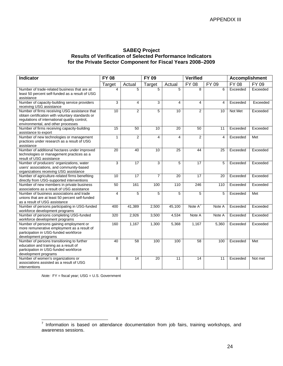#### **SABEQ Project Results of Verification of Selected Performance Indicators for the Private Sector Component for Fiscal Years 2008–2009**

<span id="page-26-0"></span>

| Indicator                                                                                                                                                                                | <b>FY 08</b>            |                 | <b>FY 09</b>   |                         | <b>Verified</b> |                | <b>Accomplishment</b> |          |
|------------------------------------------------------------------------------------------------------------------------------------------------------------------------------------------|-------------------------|-----------------|----------------|-------------------------|-----------------|----------------|-----------------------|----------|
|                                                                                                                                                                                          | Target                  | Actual          | Target         | Actual                  | <b>FY 08</b>    | FY 09          | FY 08                 | FY 09    |
| Number of trade-related business that are at<br>least 50 percent self-funded as a result of USG<br>assistance                                                                            | $\overline{\mathbf{A}}$ | 5               | 5              | 5                       | 8               | 6              | Exceeded              | Exceeded |
| Number of capacity-building service providers<br>receiving USG assistance                                                                                                                | $\overline{3}$          | $\overline{4}$  | 3              | $\overline{\mathbf{4}}$ | $\overline{4}$  | $\overline{4}$ | Exceeded              | Exceeded |
| Number of firms receiving USG assistance that<br>obtain certification with voluntary standards or<br>regulations of international quality control,<br>environmental, and other processes | 10                      | 2               | 5              | 10                      | 2               | 10             | Not Met               | Exceeded |
| Number of firms receiving capacity-building<br>assistance to export                                                                                                                      | 15                      | 50              | 10             | 20                      | 50              | 11             | Exceeded              | Exceeded |
| Number of new technologies or management<br>practices under research as a result of USG<br>assistance                                                                                    | $\mathbf{1}$            | $\overline{2}$  | $\overline{4}$ | $\overline{\mathbf{4}}$ | $\overline{2}$  | 4              | Exceeded              | Met      |
| Number of additional hectares under improved<br>technologies or management practices as a<br>result of USG assistance                                                                    | 20                      | 40              | 10             | 25                      | 44              | 25             | Exceeded              | Exceeded |
| Number of producers' organizations, water<br>users' associations, and community-based<br>organizations receiving USG assistance                                                          | 3                       | $\overline{17}$ | 3              | 5                       | $\overline{17}$ | 5              | Exceeded              | Exceeded |
| Number of agriculture-related firms benefiting<br>directly from USG-supported interventions                                                                                              | $\overline{10}$         | 17              | $\overline{7}$ | $\overline{20}$         | 17              | 20             | Exceeded              | Exceeded |
| Number of new members in private business<br>associations as a result of USG assistance                                                                                                  | 50                      | 161             | 100            | 110                     | 246             | 110            | Exceeded              | Exceeded |
| Number of business associations and trade<br>unions that are at least 50 percent self-funded<br>as a result of USG assistance                                                            | $\overline{4}$          | 5               | 5              | 5                       | 5               | 5              | Exceeded              | Met      |
| Number of persons participating in USG-funded<br>workforce development programs                                                                                                          | 400                     | 41,389          | 2,500          | 45,100                  | Note A'         | Note A         | Exceeded              | Exceeded |
| Number of persons completing USG-funded<br>workforce development programs                                                                                                                | 320                     | 2,926           | 3,500          | 4,534                   | Note A          | Note A         | Exceeded              | Exceeded |
| Number of persons gaining employment or<br>more remunerative employment as a result of<br>participation in USG-funded workforce<br>development programs                                  | 160                     | 1,167           | 1,300          | 5,368                   | 1,167           | 5,360          | Exceeded              | Exceeded |
| Number of persons transitioning to further<br>education and training as a result of<br>participation in USG-funded workforce<br>development programs                                     | 40                      | 58              | 100            | 100                     | 58              | 100            | Exceeded              | Met      |
| Number of women's organizations or<br>associations assisted as a result of USG<br>interventions                                                                                          | 8                       | $\overline{14}$ | 20             | 11                      | $\overline{14}$ | 11             | Exceeded              | Not met  |

*Note:* FY = fiscal year; USG = U.S. Government

<span id="page-26-1"></span>To the mation is based on attendance documentation from job fairs, training workshops, and  $^7$  Information is based on attendance documentation from job fairs, training workshops, and awareness sessions.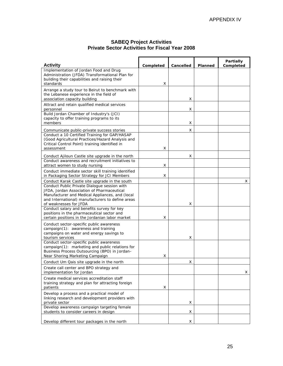#### **SABEQ Project Activities Private Sector Activities for Fiscal Year 2008**

<span id="page-27-0"></span>

| <b>Activity</b>                                                                                                                                                                                                             |                |           |                | Partially |
|-----------------------------------------------------------------------------------------------------------------------------------------------------------------------------------------------------------------------------|----------------|-----------|----------------|-----------|
| Implementation of Jordan Food and Drug<br>Administration (JFDA) Transformational Plan for<br>building their capabilities and raising their<br>standards                                                                     | Completed<br>x | Cancelled | <b>Planned</b> | Completed |
| Arrange a study tour to Beirut to benchmark with<br>the Lebanese experience in the field of<br>association capacity building                                                                                                |                | x         |                |           |
| Attract and retain qualified medical services<br>personnel                                                                                                                                                                  |                | x         |                |           |
| Build Jordan Chamber of Industry's (JCI)<br>capacity to offer training programs to its<br>members                                                                                                                           |                | x         |                |           |
| Communicate public-private success stories<br>Conduct a 10 Certified Training for GAP/HASAP<br>(Good Agricultural Practices/Hazard Analysis and<br>Critical Control Point) training identified in<br>assessment             | x              | x         |                |           |
| Conduct Ajiloun Castle site upgrade in the north                                                                                                                                                                            |                | x         |                |           |
| Conduct awareness and recruitment initiatives to<br>attract women to study nursing                                                                                                                                          | х              |           |                |           |
| Conduct immediate sector skill training identified<br>in Packaging Sector Strategy for JCI Members                                                                                                                          | х              |           |                |           |
| Conduct Karak Castle site upgrade in the south                                                                                                                                                                              |                |           |                | x         |
| Conduct Public Private Dialogue session with<br>JFDA, Jordan Association of Pharmaceutical<br>Manufacturer and Medical Appliances, and (local<br>and International) manufacturers to define areas<br>of weaknesses for JFDA |                | x         |                |           |
| Conduct salary and benefits survey for key<br>positions in the pharmaceutical sector and<br>certain positions in the Jordanian labor market                                                                                 | x              |           |                |           |
| Conduct sector-specific public awareness<br>campaign(1): awareness and training<br>campaigns on water and energy savings to<br>tourism services                                                                             |                | x         |                |           |
| Conduct sector-specific public awareness<br>campaign(1): marketing and public relations for<br>Business Process Outsourcing (BPO) in Jordan-<br>Near Shoring Marketing Campaign                                             | x              |           |                |           |
| Conduct Um Qais site upgrade in the north                                                                                                                                                                                   |                | x         |                |           |
| Create call center and BPO strategy and<br>implementation for Jordan                                                                                                                                                        |                |           |                | x         |
| Create medical services accreditation staff<br>training strategy and plan for attracting foreign<br>patients                                                                                                                | x              |           |                |           |
| Develop a process and a practical model of<br>linking research and development providers with<br>private sector                                                                                                             |                | х         |                |           |
| Develop awareness campaign targeting female<br>students to consider careers in design                                                                                                                                       |                | x         |                |           |
| Develop different tour packages in the north                                                                                                                                                                                |                | x         |                |           |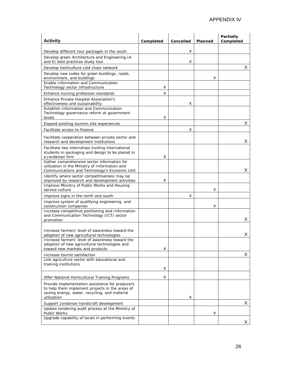| <b>Activity</b>                                                                                                                                                     | Completed | Cancelled | <b>Planned</b> | Partially<br>Completed |
|---------------------------------------------------------------------------------------------------------------------------------------------------------------------|-----------|-----------|----------------|------------------------|
| Develop different tour packages in the south                                                                                                                        |           | x         |                |                        |
| Develop green Architecture and Engineering (A<br>and E) best practices study tour                                                                                   |           | x         |                |                        |
| Develop horticulture cold chain network                                                                                                                             |           |           |                | X                      |
| Develop new codes for green buildings, roads,<br>environment, and buildings                                                                                         |           |           | x              |                        |
| Enable Information and Communication<br>Technology sector infrastructure                                                                                            | х         |           |                |                        |
| Enhance nursing profession standards                                                                                                                                | x         |           |                |                        |
| Enhance Private Hospital Association's<br>effectiveness and sustainability<br>Establish Information and Communication<br>Technology governance reform at government |           | х         |                |                        |
| levels                                                                                                                                                              | x         |           |                |                        |
| Expand existing tourism site experiences                                                                                                                            |           |           |                | Χ                      |
| Facilitate access to finance                                                                                                                                        |           | x         |                |                        |
| Facilitate cooperation between private sector and<br>research and development institutions                                                                          |           |           |                | X                      |
| Facilitate two internships inviting international<br>students in packaging and design to be placed in<br>a Jordanian firm                                           | x         |           |                |                        |
| Gather comprehensive sector information for<br>utilization in the Ministry of Information and<br>Communications and Technology's Economic Unit                      |           |           |                | Х                      |
| Identify where sector competitiveness may be<br>improved by research and development activities                                                                     | x         |           |                |                        |
| Improve Ministry of Public Works and Housing<br>service culture                                                                                                     |           |           | х              |                        |
| Improve signs in the north and south                                                                                                                                |           | x         |                |                        |
| Improve system of qualifying engineering and<br>construction companies                                                                                              |           |           | х              |                        |
| Increase competitive positioning and Information<br>and Communication Technology (ICT) sector<br>promotion                                                          |           |           |                | X                      |
| Increase farmers' level of awareness toward the<br>adoption of new agricultural technologies                                                                        |           |           |                | х                      |
| Increase farmers' level of awareness toward the<br>adoption of new agricultural technologies and<br>toward new markets and products                                 | x         |           |                |                        |
| Increase tourist satisfaction                                                                                                                                       |           |           |                | X                      |
| Link agriculture sector with educational and<br>training institutions                                                                                               |           |           |                |                        |
|                                                                                                                                                                     | х         |           |                |                        |
| Offer National Horticultural Training Programs                                                                                                                      | x         |           |                |                        |
| Provide implementation assistance for producers<br>to help them implement projects in the areas of<br>saving energy, water, recycling, and material<br>utilization  |           | х         |                |                        |
| Support Jordanian handicraft development                                                                                                                            |           |           |                | X                      |
| Update tendering audit process at the Ministry of<br>Public Works                                                                                                   |           |           | х              |                        |
| Upgrade capability of locals in performing events                                                                                                                   |           |           |                | X                      |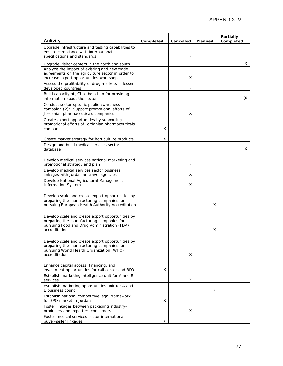| <b>Activity</b>                                                                                                                                               | Completed | Cancelled | Planned | Partially<br>Completed |
|---------------------------------------------------------------------------------------------------------------------------------------------------------------|-----------|-----------|---------|------------------------|
| Upgrade infrastructure and testing capabilities to<br>ensure compliance with international<br>specifications and standards                                    |           | x         |         |                        |
|                                                                                                                                                               |           |           |         | Χ                      |
| Upgrade visitor centers in the north and south<br>Analyze the impact of existing and new trade                                                                |           |           |         |                        |
| agreements on the agriculture sector in order to<br>increase export opportunities-workshop                                                                    |           | х         |         |                        |
| Assess the profitability of drug markets in lesser-<br>developed countries                                                                                    |           | х         |         |                        |
| Build capacity of JCI to be a hub for providing<br>information about the sector                                                                               |           |           |         | X                      |
| Conduct sector-specific public awareness<br>campaign (2): Support promotional efforts of<br>Jordanian pharmaceuticals companies                               |           | x         |         |                        |
| Create export opportunities by supporting<br>promotional efforts of Jordanian pharmaceuticals<br>companies                                                    | x         |           |         |                        |
| Create market strategy for horticulture products                                                                                                              | x         |           |         |                        |
| Design and build medical services sector<br>database                                                                                                          |           |           |         | х                      |
| Develop medical services national marketing and<br>promotional strategy and plan                                                                              |           | x         |         |                        |
| Develop medical services sector business<br>linkages with Jordanian travel agencies                                                                           |           | x         |         |                        |
| Develop National Agricultural Management<br><b>Information System</b>                                                                                         |           | x         |         |                        |
| Develop scale and create export opportunities by<br>preparing the manufacturing companies for<br>pursuing European Health Authority Accreditation             |           |           | х       |                        |
| Develop scale and create export opportunities by<br>preparing the manufacturing companies for<br>pursuing Food and Drug Administration (FDA)<br>accreditation |           |           | х       |                        |
| Develop scale and create export opportunities by<br>preparing the manufacturing companies for<br>pursuing World Health Organization (WHO)<br>accreditation    |           | x         |         |                        |
| Enhance capital access, financing, and<br>investment opportunities for call center and BPO                                                                    | x         |           |         |                        |
| Establish marketing intelligence unit for A and E<br>services                                                                                                 |           | х         |         |                        |
| Establish marketing opportunities unit for A and<br>E business council                                                                                        |           |           | х       |                        |
| Establish national competitive legal framework<br>for BPO market in Jordan                                                                                    | х         |           |         |                        |
| Foster linkages between packaging industry-<br>producers and exporters-consumers                                                                              |           | x         |         |                        |
| Foster medical services sector international<br>buyer-seller linkages                                                                                         | x         |           |         |                        |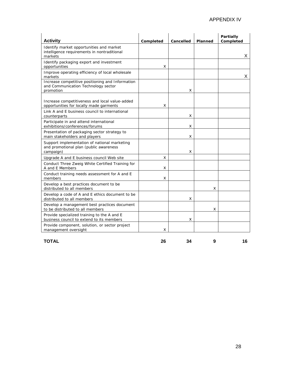| <b>Activity</b>                                                                                      | Completed | Cancelled | Planned | <b>Partially</b><br>Completed |
|------------------------------------------------------------------------------------------------------|-----------|-----------|---------|-------------------------------|
| Identify market opportunities and market<br>intelligence requirements in nontraditional<br>markets   |           |           |         | X                             |
| Identify packaging export and investment<br>opportunities                                            | x         |           |         |                               |
| Improve operating efficiency of local wholesale<br>markets                                           |           |           |         | X                             |
| Increase competitive positioning and Information<br>and Communication Technology sector<br>promotion |           | x         |         |                               |
| Increase competitiveness and local value-added<br>opportunities for locally made garments            | x         |           |         |                               |
| Link A and E business council to international<br>counterparts                                       |           | х         |         |                               |
| Participate in and attend international<br>exhibitions/conferences/forums                            |           | x         |         |                               |
| Presentation of packaging sector strategy to<br>main stakeholders and players                        |           | x         |         |                               |
| Support implementation of national marketing<br>and promotional plan (public awareness<br>campaign)  |           | х         |         |                               |
| Upgrade A and E business council Web site                                                            | x         |           |         |                               |
| Conduct Three Zweig White Certified Training for<br>A and E Members                                  | X         |           |         |                               |
| Conduct training needs assessment for A and E<br>members                                             | x         |           |         |                               |
| Develop a best practices document to be<br>distributed to all members                                |           |           | X       |                               |
| Develop a code of A and E ethics document to be<br>distributed to all members                        |           | х         |         |                               |
| Develop a management best practices document<br>to be distributed to all members                     |           |           | x       |                               |
| Provide specialized training to the A and E<br>business council to extend to its members             |           | x         |         |                               |
| Provide component, solution, or sector project<br>management oversight                               | x         |           |         |                               |

#### **TOTAL 26 34 9 16**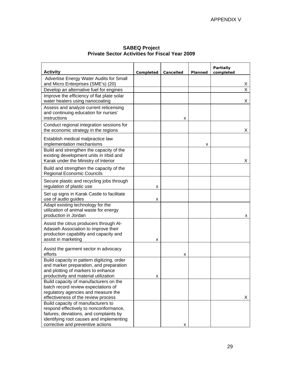<span id="page-31-0"></span>

| <b>Activity</b>                                                                   | Completed | Cancelled | Planned | <b>Partially</b><br>completed |
|-----------------------------------------------------------------------------------|-----------|-----------|---------|-------------------------------|
| Advertise Energy Water Audits for Small                                           |           |           |         |                               |
| and Micro Enterprises (SME's) (20)                                                |           |           |         | X                             |
| Develop an alternative fuel for engines                                           |           |           |         | Χ                             |
| Improve the efficiency of flat plate solar                                        |           |           |         |                               |
| water heaters using nanocoating                                                   |           |           |         | X                             |
| Assess and analyze current relicensing                                            |           |           |         |                               |
| and continuing education for nurses'<br>instructions                              |           | x         |         |                               |
|                                                                                   |           |           |         |                               |
| Conduct regional integration sessions for<br>the economic strategy in the regions |           |           |         | X                             |
|                                                                                   |           |           |         |                               |
| Establish medical malpractice law                                                 |           |           |         |                               |
| implementation mechanisms                                                         |           |           | х       |                               |
| Build and strengthen the capacity of the                                          |           |           |         |                               |
| existing development units in Irbid and<br>Karak under the Ministry of Interior   |           |           |         | X                             |
|                                                                                   |           |           |         |                               |
| Build and strengthen the capacity of the                                          |           |           |         |                               |
| <b>Regional Economic Councils</b>                                                 |           |           |         |                               |
| Secure plastic and recycling jobs through                                         |           |           |         |                               |
| regulation of plastic use                                                         | х         |           |         |                               |
| Set up signs in Karak Castle to facilitate                                        |           |           |         |                               |
| use of audio guides                                                               | х         |           |         |                               |
| Adapt existing technology for the                                                 |           |           |         |                               |
| utilization of animal waste for energy                                            |           |           |         |                               |
| production in Jordan                                                              |           |           |         | х                             |
| Assist the citrus producers through Al-                                           |           |           |         |                               |
| Adasieh Association to improve their                                              |           |           |         |                               |
| production capability and capacity and                                            |           |           |         |                               |
| assist in marketing                                                               | x         |           |         |                               |
| Assist the garment sector in advocacy                                             |           |           |         |                               |
| efforts                                                                           |           | х         |         |                               |
| Build capacity in pattern digitizing, order                                       |           |           |         |                               |
| and marker preparation, and preparation                                           |           |           |         |                               |
| and plotting of markers to enhance                                                |           |           |         |                               |
| productivity and material utilization                                             | x         |           |         |                               |
| Build capacity of manufacturers on the<br>batch record review expectations of     |           |           |         |                               |
| regulatory agencies and measure the                                               |           |           |         |                               |
| effectiveness of the review process                                               |           |           |         | X                             |
| Build capacity of manufacturers to                                                |           |           |         |                               |
| respond effectively to nonconformance,                                            |           |           |         |                               |
| failures, deviations, and complaints by                                           |           |           |         |                               |
| identifying root causes and implementing                                          |           |           |         |                               |
| corrective and preventive actions                                                 |           | X         |         |                               |

#### **SABEQ Project Private Sector Activities for Fiscal Year 2009**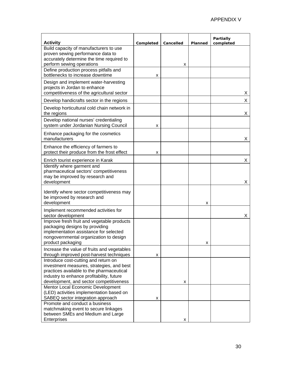| <b>Activity</b>                                                                                                                                                                                                        | Completed | Cancelled | Planned | Partially<br>completed |
|------------------------------------------------------------------------------------------------------------------------------------------------------------------------------------------------------------------------|-----------|-----------|---------|------------------------|
| Build capacity of manufacturers to use<br>proven sewing performance data to<br>accurately determine the time required to<br>perform sewing operations                                                                  |           | x         |         |                        |
| Define production process pitfalls and<br>bottlenecks to increase downtime                                                                                                                                             | х         |           |         |                        |
| Design and implement water-harvesting<br>projects in Jordan to enhance<br>competitiveness of the agricultural sector                                                                                                   |           |           |         | х                      |
| Develop handicrafts sector in the regions                                                                                                                                                                              |           |           |         | Χ                      |
| Develop horticultural cold chain network in<br>the regions                                                                                                                                                             |           |           |         | Х                      |
| Develop national nurses' credentialing<br>system under Jordanian Nursing Council                                                                                                                                       | х         |           |         |                        |
| Enhance packaging for the cosmetics<br>manufacturers                                                                                                                                                                   |           |           |         | Χ                      |
| Enhance the efficiency of farmers to<br>protect their produce from the frost effect                                                                                                                                    | х         |           |         |                        |
| Enrich tourist experience in Karak                                                                                                                                                                                     |           |           |         | х                      |
| Identify where garment and<br>pharmaceutical sectors' competitiveness<br>may be improved by research and<br>development                                                                                                |           |           |         | х                      |
| Identify where sector competitiveness may<br>be improved by research and<br>development                                                                                                                                |           |           | x       |                        |
| Implement recommended activities for<br>sector development                                                                                                                                                             |           |           |         | Х                      |
| Improve fresh fruit and vegetable products<br>packaging designs by providing<br>implementation assistance for selected<br>nongovernmental organization to design<br>product packaging                                  |           |           | x       |                        |
| Increase the value of fruits and vegetables<br>through improved post-harvest techniques                                                                                                                                | x         |           |         |                        |
| Introduce cost-cutting and return on<br>investment measures, strategies, and best<br>practices available to the pharmaceutical<br>industry to enhance profitability, future<br>development, and sector competitiveness |           | x         |         |                        |
| Mentor Local Economic Development<br>(LED) activities implementation based on<br>SABEQ sector integration approach                                                                                                     | х         |           |         |                        |
| Promote and conduct a business<br>matchmaking event to secure linkages<br>between SMEs and Medium and Large<br>Enterprises                                                                                             |           | x         |         |                        |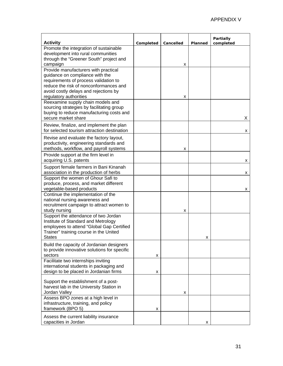| <b>Activity</b>                                                                                                                                                                                                               | Completed | Cancelled | Planned | <b>Partially</b><br>completed |
|-------------------------------------------------------------------------------------------------------------------------------------------------------------------------------------------------------------------------------|-----------|-----------|---------|-------------------------------|
| Promote the integration of sustainable<br>development into rural communities<br>through the "Greener South" project and<br>campaign                                                                                           |           | x         |         |                               |
| Provide manufacturers with practical<br>guidance on compliance with the<br>requirements of process validation to<br>reduce the risk of nonconformances and<br>avoid costly delays and rejections by<br>regulatory authorities |           | x         |         |                               |
| Reexamine supply chain models and<br>sourcing strategies by facilitating group<br>buying to reduce manufacturing costs and<br>secure market share                                                                             |           |           |         | х                             |
| Review, finalize, and implement the plan<br>for selected tourism attraction destination                                                                                                                                       |           |           |         | x                             |
| Revise and evaluate the factory layout,<br>productivity, engineering standards and<br>methods, workflow, and payroll systems                                                                                                  |           | x         |         |                               |
| Provide support at the firm level in<br>acquiring U.S. patents                                                                                                                                                                |           |           |         | х                             |
| Support female farmers in Bani Kinanah<br>association in the production of herbs                                                                                                                                              |           |           |         | x                             |
| Support the women of Ghour Safi to<br>produce, process, and market different<br>vegetable-based products                                                                                                                      |           |           |         | x                             |
| Continue the implementation of the<br>national nursing awareness and<br>recruitment campaign to attract women to<br>study nursing                                                                                             |           | x         |         |                               |
| Support the attendance of two Jordan<br>Institute of Standard and Metrology<br>employees to attend "Global Gap Certified<br>Trainer" training course in the United<br><b>States</b>                                           |           |           | x       |                               |
| Build the capacity of Jordanian designers<br>to provide innovative solutions for specific<br>sectors                                                                                                                          | x         |           |         |                               |
| Facilitate two internships inviting<br>international students in packaging and<br>design to be placed in Jordanian firms                                                                                                      | x         |           |         |                               |
| Support the establishment of a post-<br>harvest lab in the University Station in<br>Jordan Valley                                                                                                                             |           | x         |         |                               |
| Assess BPO zones at a high level in<br>infrastructure, training, and policy<br>framework (BPO 5)                                                                                                                              | x         |           |         |                               |
| Assess the current liability insurance<br>capacities in Jordan                                                                                                                                                                |           |           | x       |                               |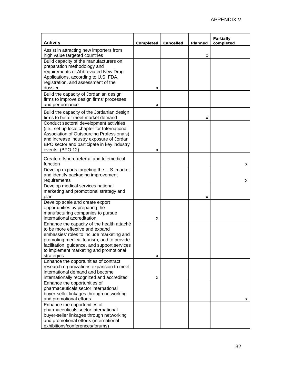| <b>Activity</b>                                                                                                                                                                                                                                                   | Completed | Cancelled | Planned | Partially<br>completed |
|-------------------------------------------------------------------------------------------------------------------------------------------------------------------------------------------------------------------------------------------------------------------|-----------|-----------|---------|------------------------|
| Assist in attracting new importers from                                                                                                                                                                                                                           |           |           |         |                        |
| high value targeted countries<br>Build capacity of the manufacturers on<br>preparation methodology and<br>requirements of Abbreviated New Drug<br>Applications, according to U.S. FDA,<br>registration, and assessment of the<br>dossier                          | х         |           | x       |                        |
| Build the capacity of Jordanian design<br>firms to improve design firms' processes<br>and performance                                                                                                                                                             | х         |           |         |                        |
| Build the capacity of the Jordanian design<br>firms to better meet market demand<br>Conduct sectoral development activities                                                                                                                                       |           |           | x       |                        |
| (i.e., set up local chapter for International<br>Association of Outsourcing Professionals)<br>and increase industry exposure of Jordan<br>BPO sector and participate in key industry<br>events. (BPO 12)                                                          | x         |           |         |                        |
| Create offshore referral and telemedical<br>function                                                                                                                                                                                                              |           |           |         | x                      |
| Develop exports targeting the U.S. market<br>and identify packaging improvement<br>requirements                                                                                                                                                                   |           |           |         | x                      |
| Develop medical services national<br>marketing and promotional strategy and<br>plan                                                                                                                                                                               |           |           | x       |                        |
| Develop scale and create export<br>opportunities by preparing the<br>manufacturing companies to pursue<br>international accreditation                                                                                                                             | х         |           |         |                        |
| Enhance the capacity of the health attaché<br>to be more effective and expand<br>embassies' roles to include marketing and<br>promoting medical tourism; and to provide<br>facilitation, guidance, and support services<br>to implement marketing and promotional |           |           |         |                        |
| strategies<br>Enhance the opportunities of contract<br>research organizations expansion to meet<br>international demand and become<br>internationally recognized and accredited                                                                                   | X         |           |         |                        |
| Enhance the opportunities of<br>pharmaceuticals sector international<br>buyer-seller linkages through networking<br>and promotional efforts                                                                                                                       | x         |           |         | x                      |
| Enhance the opportunities of<br>pharmaceuticals sector international<br>buyer-seller linkages through networking<br>and promotional efforts (international<br>exhibitions/conferences/forums)                                                                     |           |           |         |                        |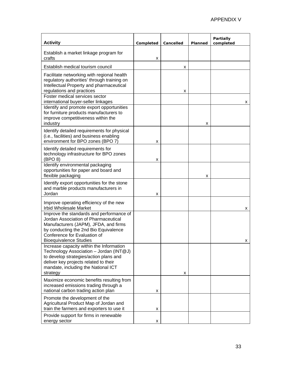| <b>Activity</b>                                                                                                                                                                                                                     | Completed | Cancelled | Planned | <b>Partially</b><br>completed |
|-------------------------------------------------------------------------------------------------------------------------------------------------------------------------------------------------------------------------------------|-----------|-----------|---------|-------------------------------|
| Establish a market linkage program for<br>crafts                                                                                                                                                                                    | X         |           |         |                               |
| Establish medical tourism council                                                                                                                                                                                                   |           | х         |         |                               |
| Facilitate networking with regional health<br>regulatory authorities' through training on<br>Intellectual Property and pharmaceutical<br>regulations and practices                                                                  |           | x         |         |                               |
| Foster medical services sector<br>international buyer-seller linkages                                                                                                                                                               |           |           |         | х                             |
| Identify and promote export opportunities<br>for furniture products manufacturers to<br>improve competitiveness within the<br>industry                                                                                              |           |           | x       |                               |
| Identify detailed requirements for physical<br>(i.e., facilities) and business enabling<br>environment for BPO zones (BPO 7)                                                                                                        | х         |           |         |                               |
| Identify detailed requirements for<br>technology infrastructure for BPO zones<br>(BPO 8)                                                                                                                                            | х         |           |         |                               |
| Identify environmental packaging<br>opportunities for paper and board and<br>flexible packaging                                                                                                                                     |           |           | х       |                               |
| Identify export opportunities for the stone<br>and marble products manufacturers in<br>Jordan                                                                                                                                       | х         |           |         |                               |
| Improve operating efficiency of the new<br><b>Irbid Wholesale Market</b>                                                                                                                                                            |           |           |         | х                             |
| Improve the standards and performance of<br>Jordan Association of Pharmaceutical<br>Manufacturers (JAPM), JFDA, and firms<br>by conducting the 2nd Bio Equivalence<br>Conference for Evaluation of<br><b>Bioequivalence Studies</b> |           |           |         |                               |
| Increase capacity within the Information<br>Technology Association - Jordan (INT@J)<br>to develop strategies/action plans and<br>deliver key projects related to their<br>mandate, including the National ICT<br>strategy           |           | х         |         |                               |
| Maximize economic benefits resulting from<br>increased emissions trading through a<br>national carbon trading action plan                                                                                                           | х         |           |         |                               |
| Promote the development of the<br>Agricultural Product Map of Jordan and<br>train the farmers and exporters to use it                                                                                                               | х         |           |         |                               |
| Provide support for firms in renewable<br>energy sector                                                                                                                                                                             | х         |           |         |                               |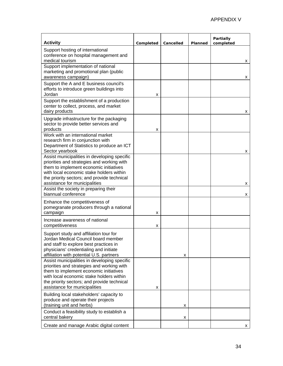| <b>Activity</b>                                                                                                                                                                                                                                                  | Completed | Cancelled | Planned | Partially<br>completed |
|------------------------------------------------------------------------------------------------------------------------------------------------------------------------------------------------------------------------------------------------------------------|-----------|-----------|---------|------------------------|
| Support hosting of international<br>conference on hospital management and<br>medical tourism                                                                                                                                                                     |           |           |         | х                      |
| Support implementation of national<br>marketing and promotional plan (public<br>awareness campaign)                                                                                                                                                              |           |           |         | х                      |
| Support the A and E business council's<br>efforts to introduce green buildings into<br>Jordan                                                                                                                                                                    | x         |           |         |                        |
| Support the establishment of a production<br>center to collect, process, and market<br>dairy products                                                                                                                                                            |           |           |         | х                      |
| Upgrade infrastructure for the packaging<br>sector to provide better services and<br>products                                                                                                                                                                    | х         |           |         |                        |
| Work with an international market<br>research firm in conjunction with<br>Department of Statistics to produce an ICT<br>Sector yearbook                                                                                                                          |           |           |         | x                      |
| Assist municipalities in developing specific<br>priorities and strategies and working with<br>them to implement economic initiatives<br>with local economic stake holders within<br>the priority sectors; and provide technical<br>assistance for municipalities |           |           |         | х                      |
| Assist the society in preparing their<br>biannual conference                                                                                                                                                                                                     |           |           |         | x                      |
| Enhance the competitiveness of<br>pomegranate producers through a national<br>campaign                                                                                                                                                                           | x         |           |         |                        |
| Increase awareness of national<br>competitiveness                                                                                                                                                                                                                | х         |           |         |                        |
| Support study and affiliation tour for<br>Jordan Medical Council board member<br>and staff to explore best practices in<br>physicians' credentialing and initiate<br>affiliation with potential U.S. partners                                                    |           | x         |         |                        |
| Assist municipalities in developing specific<br>priorities and strategies and working with<br>them to implement economic initiatives<br>with local economic stake holders within<br>the priority sectors; and provide technical<br>assistance for municipalities | x         |           |         |                        |
| Building local stakeholders' capacity to<br>produce and operate their projects<br>(training unit and herbs)                                                                                                                                                      |           | x         |         |                        |
| Conduct a feasibility study to establish a<br>central bakery                                                                                                                                                                                                     |           | x         |         |                        |
| Create and manage Arabic digital content                                                                                                                                                                                                                         |           |           |         | x                      |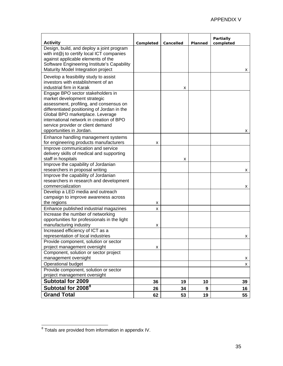| <b>Activity</b>                                                                                                                                                                                                                                                                                              | Completed | Cancelled | Planned | Partially<br>completed |
|--------------------------------------------------------------------------------------------------------------------------------------------------------------------------------------------------------------------------------------------------------------------------------------------------------------|-----------|-----------|---------|------------------------|
| Design, build, and deploy a joint program<br>with int@j to certify local ICT companies<br>against applicable elements of the<br>Software Engineering Institute's Capability<br>Maturity Model Integration project                                                                                            |           |           |         | х                      |
| Develop a feasibility study to assist<br>investors with establishment of an<br>industrial firm in Karak                                                                                                                                                                                                      |           | x         |         |                        |
| Engage BPO sector stakeholders in<br>market development strategic<br>assessment, profiling, and consensus on<br>differentiated positioning of Jordan in the<br>Global BPO marketplace. Leverage<br>international network in creation of BPO<br>service provider or client demand<br>opportunities in Jordan. |           |           |         | х                      |
| Enhance handling management systems<br>for engineering products manufacturers                                                                                                                                                                                                                                | x         |           |         |                        |
| Improve communication and service<br>delivery skills of medical and supporting<br>staff in hospitals                                                                                                                                                                                                         |           | x         |         |                        |
| Improve the capability of Jordanian<br>researchers in proposal writing                                                                                                                                                                                                                                       |           |           |         | x                      |
| Improve the capability of Jordanian<br>researchers in research and development<br>commercialization                                                                                                                                                                                                          |           |           |         | х                      |
| Develop a LED media and outreach<br>campaign to improve awareness across<br>the regions                                                                                                                                                                                                                      | x         |           |         |                        |
| Enhance published industrial magazines                                                                                                                                                                                                                                                                       | x         |           |         |                        |
| Increase the number of networking<br>opportunities for professionals in the light<br>manufacturing industry                                                                                                                                                                                                  | х         |           |         |                        |
| Increased efficiency of ICT as a<br>representation of local industries                                                                                                                                                                                                                                       |           |           |         | x                      |
| Provide component, solution or sector                                                                                                                                                                                                                                                                        |           |           |         |                        |
| project management oversight                                                                                                                                                                                                                                                                                 | x         |           |         |                        |
| Component, solution or sector project                                                                                                                                                                                                                                                                        |           |           |         |                        |
| management oversight                                                                                                                                                                                                                                                                                         |           |           |         | x                      |
| Operational budget                                                                                                                                                                                                                                                                                           |           |           |         | x                      |
| Provide component, solution or sector                                                                                                                                                                                                                                                                        |           |           |         |                        |
| project management oversight                                                                                                                                                                                                                                                                                 |           |           |         |                        |
| <b>Subtotal for 2009</b>                                                                                                                                                                                                                                                                                     | 36        | 19        | 10      | 39                     |
| Subtotal for 2008 <sup>8</sup>                                                                                                                                                                                                                                                                               | 26        | 34        | 9       | 16                     |
| <b>Grand Total</b>                                                                                                                                                                                                                                                                                           | 62        | 53        | 19      | 55                     |

<span id="page-37-0"></span> 8 Totals are provided from information in appendix IV.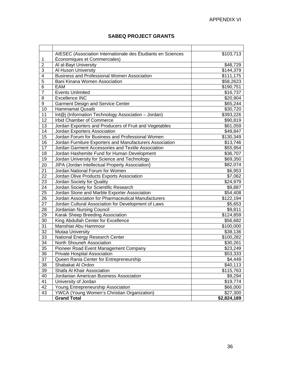#### **SABEQ PROJECT GRANTS**

<span id="page-38-0"></span>

|                 | AIESEC (Association Internationale des Étudiants en Sciences | \$103,713   |
|-----------------|--------------------------------------------------------------|-------------|
| 1               | Économiques et Commerciales)                                 |             |
| $\overline{2}$  | Al al-Bayt University                                        | \$48,729    |
| 3               | Al Huson University                                          | \$144,379   |
| $\overline{4}$  | Business and Professional Women Association                  | \$111,175   |
| $\overline{5}$  | Bani Kinana Women Association                                | \$58,2623   |
| 6               | EAM                                                          | \$190,751   |
| $\overline{7}$  | <b>Events Unlimited</b>                                      | \$16,737    |
| 8               | <b>Excellence INC</b>                                        | \$20,904    |
| 9               | <b>Garment Design and Service Center</b>                     | \$65,244    |
| 10              | <b>Hammamat Qusaib</b>                                       | \$30,720    |
| 11              | Int@j (Information Technology Association - Jordan)          | \$393,226   |
| 12              | Irbid Chamber of Commerce                                    | \$90,819    |
| 13              | Jordan Exporters and Producers of Fruit and Vegetables       | \$61,059    |
| 14              | Jordan Exporters Association                                 | \$49,847    |
| 15              | Jordan Forum for Business and Professional Women             | \$130,349   |
| $\overline{16}$ | Jordan Furniture Exporters and Manufacturers Association     | \$13,746    |
| 17              | Jordan Garment Accessories and Textile Association           | \$55,954    |
| 18              | Jordan Hashemite Fund for Human Development                  | \$36,707    |
| 19              | Jordan University for Science and Technology                 | \$69,350    |
| 20              | JIPA (Jordan Intellectual Property Association)              | \$82,074    |
| 21              | Jordan National Forum for Women                              | \$6,953     |
| 22              | Jordan Olive Products Exports Association                    | \$7,062     |
| 23              | Jordan Society for Quality                                   | \$24,979    |
| 24              | Jordan Society for Scientific Research                       | \$9,887     |
| 25              | Jordan Stone and Marble Exporter Association                 | \$54,408    |
| 26              | Jordan Association for Pharmaceutical Manufacturers          | \$122,194   |
| 27              | Jordan Cultural Association for Development of Laws          | \$5,653     |
| 28              | Jordanian Nursing Council                                    | \$9,811     |
| 29              | Karak Sheep Breeding Association                             | \$124,859   |
| 30              | King Abdullah Center for Excellence                          | \$56,682    |
| 31              | Manshiat Abu Hammour                                         | \$100,000   |
| 32              | <b>Mutaa University</b>                                      | \$38,136    |
| 33              | National Energy Research Center                              | \$100,282   |
| 34              | North Shouneh Association                                    | \$30,261    |
| 35              | Pioneer Road Event Management Company                        | \$23,249    |
| 36              | <b>Private Hospital Association</b>                          | \$53,333    |
| 37              | Queen Rania Center for Entrepreneurship                      | \$4,449     |
| 38              | Shabakat Al Ordon                                            | \$40,113    |
| 39              | Shafa Al Khair Association                                   | \$115,763   |
| 40              | Jordanian American Business Association                      | \$9,294     |
| 41              | University of Jordan                                         | \$19,774    |
| 42              | Young Entrepreneurship Association                           | \$66,000    |
| 43              | YWCA (Young Women's Christian Organization)                  | \$27,300    |
|                 | <b>Grand Total</b>                                           | \$2,824,189 |